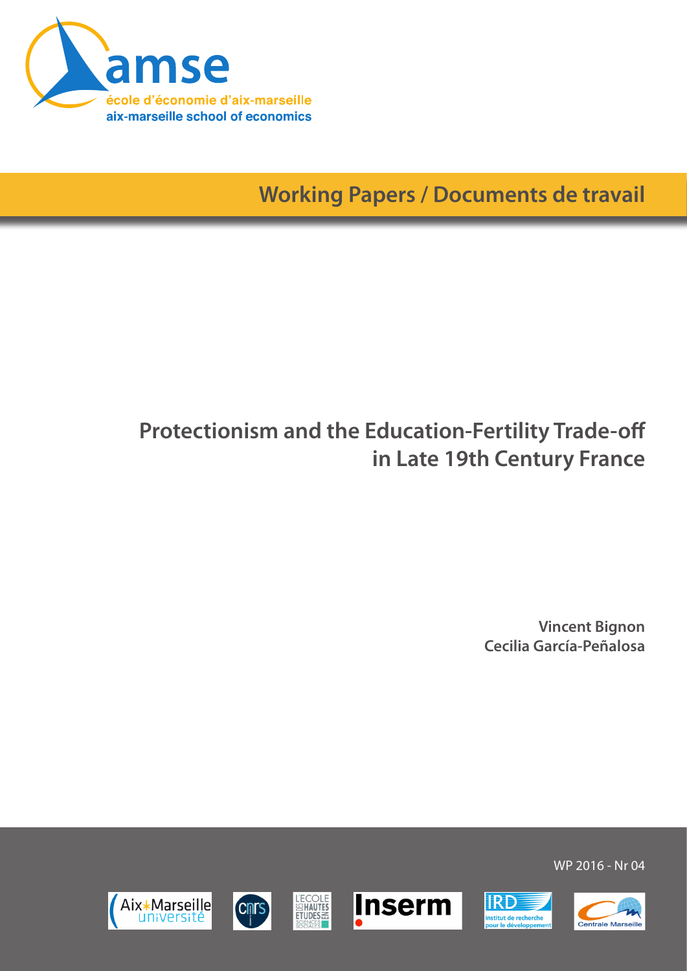

**Working Papers / Documents de travail**

# **Protectionism and the Education-Fertility Trade-off in Late 19th Century France**

**Vincent Bignon Cecilia García-Peñalosa**













WP 2016 - Nr 04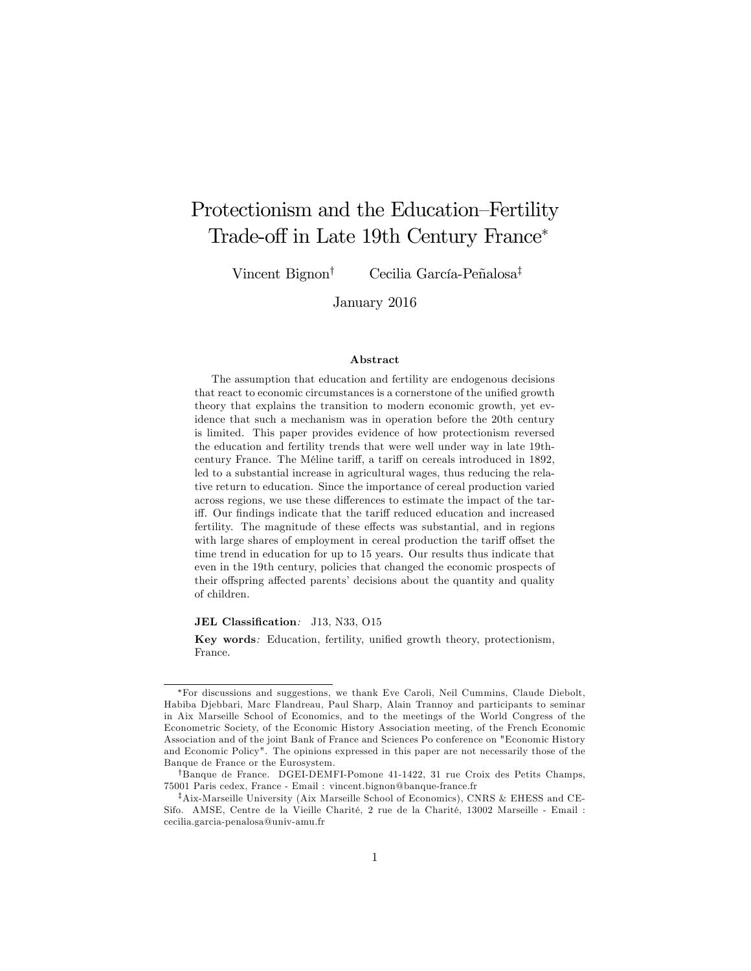## Protectionism and the Education–Fertility Trade-off in Late 19th Century France<sup>\*</sup>

Vincent Bignon<sup>†</sup> Cecilia García-Peñalosa<sup>‡</sup>

January 2016

#### Abstract

The assumption that education and fertility are endogenous decisions that react to economic circumstances is a cornerstone of the unified growth theory that explains the transition to modern economic growth, yet evidence that such a mechanism was in operation before the 20th century is limited. This paper provides evidence of how protectionism reversed the education and fertility trends that were well under way in late 19thcentury France. The Méline tariff, a tariff on cereals introduced in 1892, led to a substantial increase in agricultural wages, thus reducing the relative return to education. Since the importance of cereal production varied across regions, we use these differences to estimate the impact of the tariff. Our findings indicate that the tariff reduced education and increased fertility. The magnitude of these effects was substantial, and in regions with large shares of employment in cereal production the tariff offset the time trend in education for up to 15 years. Our results thus indicate that even in the 19th century, policies that changed the economic prospects of their offspring affected parents' decisions about the quantity and quality of children.

JEL Classification: J13, N33, O15

Key words: Education, fertility, unified growth theory, protectionism, France.

For discussions and suggestions, we thank Eve Caroli, Neil Cummins, Claude Diebolt, Habiba Djebbari, Marc Flandreau, Paul Sharp, Alain Trannoy and participants to seminar in Aix Marseille School of Economics, and to the meetings of the World Congress of the Econometric Society, of the Economic History Association meeting, of the French Economic Association and of the joint Bank of France and Sciences Po conference on "Economic History and Economic Policy". The opinions expressed in this paper are not necessarily those of the Banque de France or the Eurosystem.

<sup>&</sup>lt;sup>†</sup>Banque de France. DGEI-DEMFI-Pomone 41-1422, 31 rue Croix des Petits Champs, 75001 Paris cedex, France - Email : vincent.bignon@banque-france.fr

<sup>&</sup>lt;sup>‡</sup>Aix-Marseille University (Aix Marseille School of Economics), CNRS & EHESS and CE-Sifo. AMSE, Centre de la Vieille Charité, 2 rue de la Charité, 13002 Marseille - Email : cecilia.garcia-penalosa@univ-amu.fr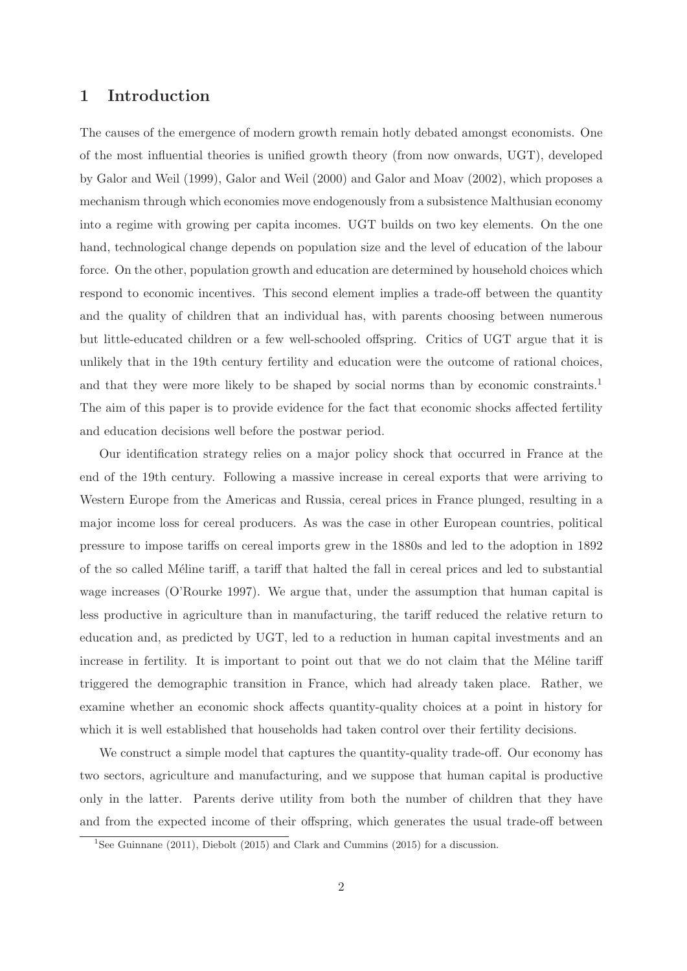## **1 Introduction**

The causes of the emergence of modern growth remain hotly debated amongst economists. One of the most influential theories is unified growth theory (from now onwards, UGT), developed by Galor and Weil (1999), Galor and Weil (2000) and Galor and Moav (2002), which proposes a mechanism through which economies move endogenously from a subsistence Malthusian economy into a regime with growing per capita incomes. UGT builds on two key elements. On the one hand, technological change depends on population size and the level of education of the labour force. On the other, population growth and education are determined by household choices which respond to economic incentives. This second element implies a trade-off between the quantity and the quality of children that an individual has, with parents choosing between numerous but little-educated children or a few well-schooled offspring. Critics of UGT argue that it is unlikely that in the 19th century fertility and education were the outcome of rational choices, and that they were more likely to be shaped by social norms than by economic constraints.<sup>1</sup> The aim of this paper is to provide evidence for the fact that economic shocks affected fertility and education decisions well before the postwar period.

Our identification strategy relies on a major policy shock that occurred in France at the end of the 19th century. Following a massive increase in cereal exports that were arriving to Western Europe from the Americas and Russia, cereal prices in France plunged, resulting in a major income loss for cereal producers. As was the case in other European countries, political pressure to impose tariffs on cereal imports grew in the 1880s and led to the adoption in 1892 of the so called M´eline tariff, a tariff that halted the fall in cereal prices and led to substantial wage increases (O'Rourke 1997). We argue that, under the assumption that human capital is less productive in agriculture than in manufacturing, the tariff reduced the relative return to education and, as predicted by UGT, led to a reduction in human capital investments and an increase in fertility. It is important to point out that we do not claim that the Méline tariff triggered the demographic transition in France, which had already taken place. Rather, we examine whether an economic shock affects quantity-quality choices at a point in history for which it is well established that households had taken control over their fertility decisions.

We construct a simple model that captures the quantity-quality trade-off. Our economy has two sectors, agriculture and manufacturing, and we suppose that human capital is productive only in the latter. Parents derive utility from both the number of children that they have and from the expected income of their offspring, which generates the usual trade-off between

<sup>1</sup>See Guinnane (2011), Diebolt (2015) and Clark and Cummins (2015) for a discussion.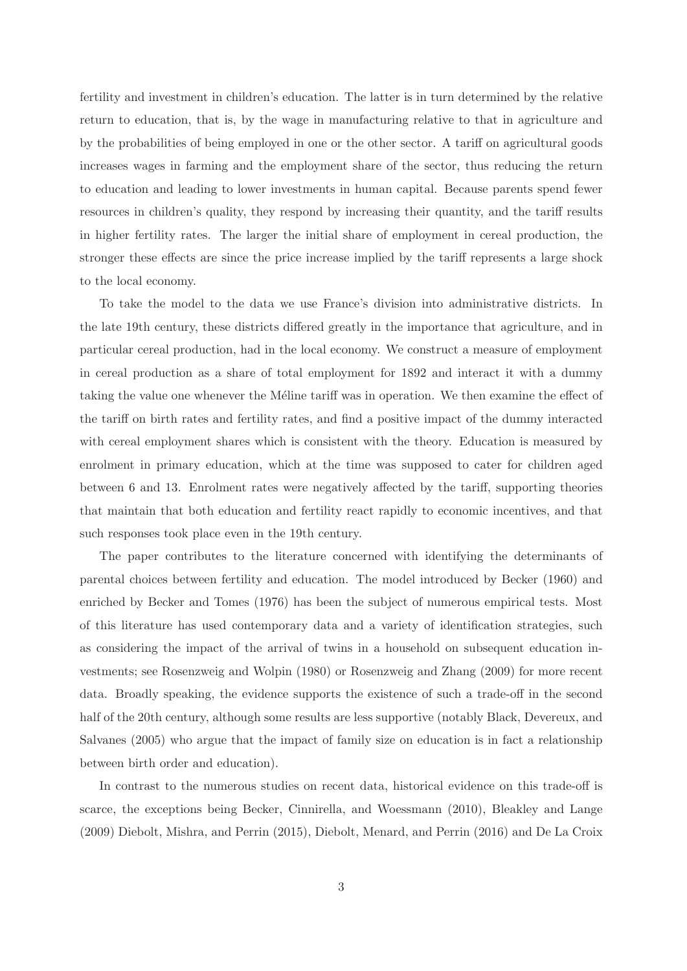fertility and investment in children's education. The latter is in turn determined by the relative return to education, that is, by the wage in manufacturing relative to that in agriculture and by the probabilities of being employed in one or the other sector. A tariff on agricultural goods increases wages in farming and the employment share of the sector, thus reducing the return to education and leading to lower investments in human capital. Because parents spend fewer resources in children's quality, they respond by increasing their quantity, and the tariff results in higher fertility rates. The larger the initial share of employment in cereal production, the stronger these effects are since the price increase implied by the tariff represents a large shock to the local economy.

To take the model to the data we use France's division into administrative districts. In the late 19th century, these districts differed greatly in the importance that agriculture, and in particular cereal production, had in the local economy. We construct a measure of employment in cereal production as a share of total employment for 1892 and interact it with a dummy taking the value one whenever the Méline tariff was in operation. We then examine the effect of the tariff on birth rates and fertility rates, and find a positive impact of the dummy interacted with cereal employment shares which is consistent with the theory. Education is measured by enrolment in primary education, which at the time was supposed to cater for children aged between 6 and 13. Enrolment rates were negatively affected by the tariff, supporting theories that maintain that both education and fertility react rapidly to economic incentives, and that such responses took place even in the 19th century.

The paper contributes to the literature concerned with identifying the determinants of parental choices between fertility and education. The model introduced by Becker (1960) and enriched by Becker and Tomes (1976) has been the subject of numerous empirical tests. Most of this literature has used contemporary data and a variety of identification strategies, such as considering the impact of the arrival of twins in a household on subsequent education investments; see Rosenzweig and Wolpin (1980) or Rosenzweig and Zhang (2009) for more recent data. Broadly speaking, the evidence supports the existence of such a trade-off in the second half of the 20th century, although some results are less supportive (notably Black, Devereux, and Salvanes (2005) who argue that the impact of family size on education is in fact a relationship between birth order and education).

In contrast to the numerous studies on recent data, historical evidence on this trade-off is scarce, the exceptions being Becker, Cinnirella, and Woessmann (2010), Bleakley and Lange (2009) Diebolt, Mishra, and Perrin (2015), Diebolt, Menard, and Perrin (2016) and De La Croix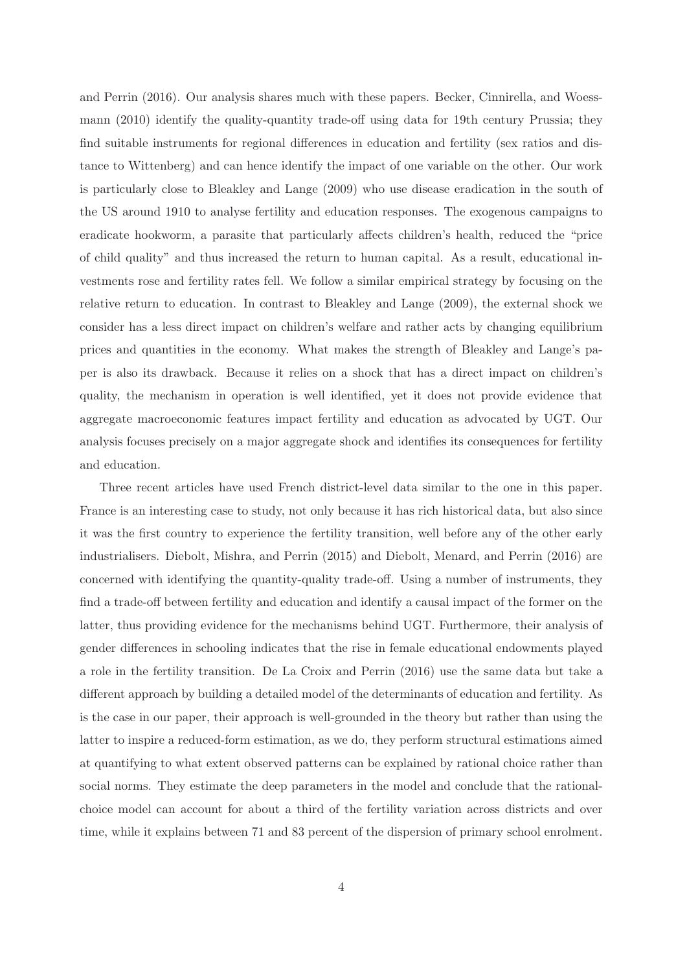and Perrin (2016). Our analysis shares much with these papers. Becker, Cinnirella, and Woessmann (2010) identify the quality-quantity trade-off using data for 19th century Prussia; they find suitable instruments for regional differences in education and fertility (sex ratios and distance to Wittenberg) and can hence identify the impact of one variable on the other. Our work is particularly close to Bleakley and Lange (2009) who use disease eradication in the south of the US around 1910 to analyse fertility and education responses. The exogenous campaigns to eradicate hookworm, a parasite that particularly affects children's health, reduced the "price of child quality" and thus increased the return to human capital. As a result, educational investments rose and fertility rates fell. We follow a similar empirical strategy by focusing on the relative return to education. In contrast to Bleakley and Lange (2009), the external shock we consider has a less direct impact on children's welfare and rather acts by changing equilibrium prices and quantities in the economy. What makes the strength of Bleakley and Lange's paper is also its drawback. Because it relies on a shock that has a direct impact on children's quality, the mechanism in operation is well identified, yet it does not provide evidence that aggregate macroeconomic features impact fertility and education as advocated by UGT. Our analysis focuses precisely on a major aggregate shock and identifies its consequences for fertility and education.

Three recent articles have used French district-level data similar to the one in this paper. France is an interesting case to study, not only because it has rich historical data, but also since it was the first country to experience the fertility transition, well before any of the other early industrialisers. Diebolt, Mishra, and Perrin (2015) and Diebolt, Menard, and Perrin (2016) are concerned with identifying the quantity-quality trade-off. Using a number of instruments, they find a trade-off between fertility and education and identify a causal impact of the former on the latter, thus providing evidence for the mechanisms behind UGT. Furthermore, their analysis of gender differences in schooling indicates that the rise in female educational endowments played a role in the fertility transition. De La Croix and Perrin (2016) use the same data but take a different approach by building a detailed model of the determinants of education and fertility. As is the case in our paper, their approach is well-grounded in the theory but rather than using the latter to inspire a reduced-form estimation, as we do, they perform structural estimations aimed at quantifying to what extent observed patterns can be explained by rational choice rather than social norms. They estimate the deep parameters in the model and conclude that the rationalchoice model can account for about a third of the fertility variation across districts and over time, while it explains between 71 and 83 percent of the dispersion of primary school enrolment.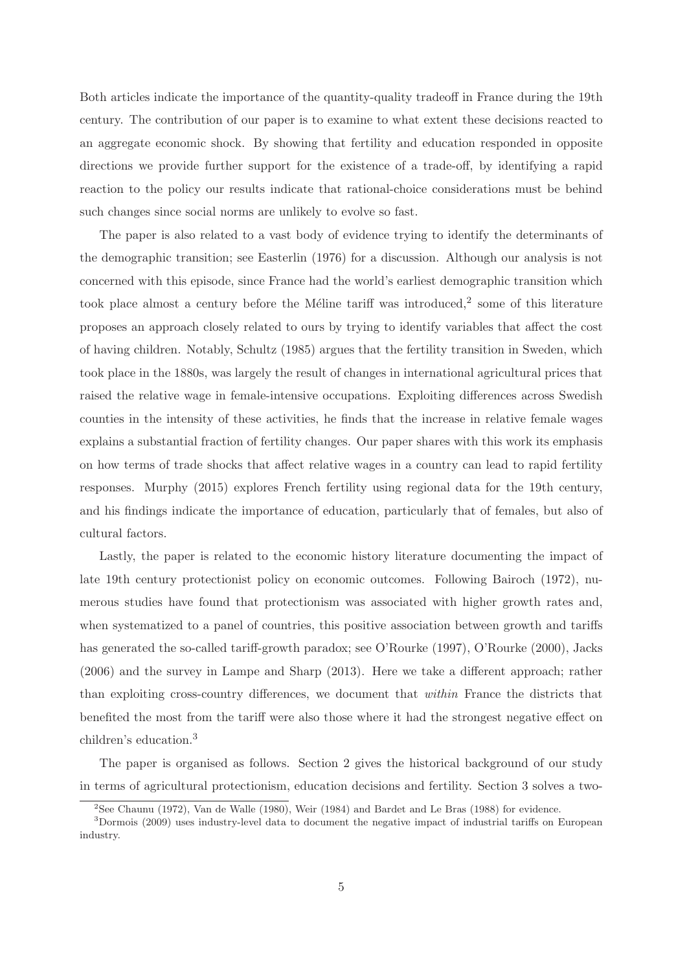Both articles indicate the importance of the quantity-quality tradeoff in France during the 19th century. The contribution of our paper is to examine to what extent these decisions reacted to an aggregate economic shock. By showing that fertility and education responded in opposite directions we provide further support for the existence of a trade-off, by identifying a rapid reaction to the policy our results indicate that rational-choice considerations must be behind such changes since social norms are unlikely to evolve so fast.

The paper is also related to a vast body of evidence trying to identify the determinants of the demographic transition; see Easterlin (1976) for a discussion. Although our analysis is not concerned with this episode, since France had the world's earliest demographic transition which took place almost a century before the Méline tariff was introduced, $2$  some of this literature proposes an approach closely related to ours by trying to identify variables that affect the cost of having children. Notably, Schultz (1985) argues that the fertility transition in Sweden, which took place in the 1880s, was largely the result of changes in international agricultural prices that raised the relative wage in female-intensive occupations. Exploiting differences across Swedish counties in the intensity of these activities, he finds that the increase in relative female wages explains a substantial fraction of fertility changes. Our paper shares with this work its emphasis on how terms of trade shocks that affect relative wages in a country can lead to rapid fertility responses. Murphy (2015) explores French fertility using regional data for the 19th century, and his findings indicate the importance of education, particularly that of females, but also of cultural factors.

Lastly, the paper is related to the economic history literature documenting the impact of late 19th century protectionist policy on economic outcomes. Following Bairoch (1972), numerous studies have found that protectionism was associated with higher growth rates and, when systematized to a panel of countries, this positive association between growth and tariffs has generated the so-called tariff-growth paradox; see O'Rourke (1997), O'Rourke (2000), Jacks (2006) and the survey in Lampe and Sharp (2013). Here we take a different approach; rather than exploiting cross-country differences, we document that within France the districts that benefited the most from the tariff were also those where it had the strongest negative effect on children's education.<sup>3</sup>

The paper is organised as follows. Section 2 gives the historical background of our study in terms of agricultural protectionism, education decisions and fertility. Section 3 solves a two-

<sup>2</sup>See Chaunu (1972), Van de Walle (1980), Weir (1984) and Bardet and Le Bras (1988) for evidence.

<sup>3</sup>Dormois (2009) uses industry-level data to document the negative impact of industrial tariffs on European industry.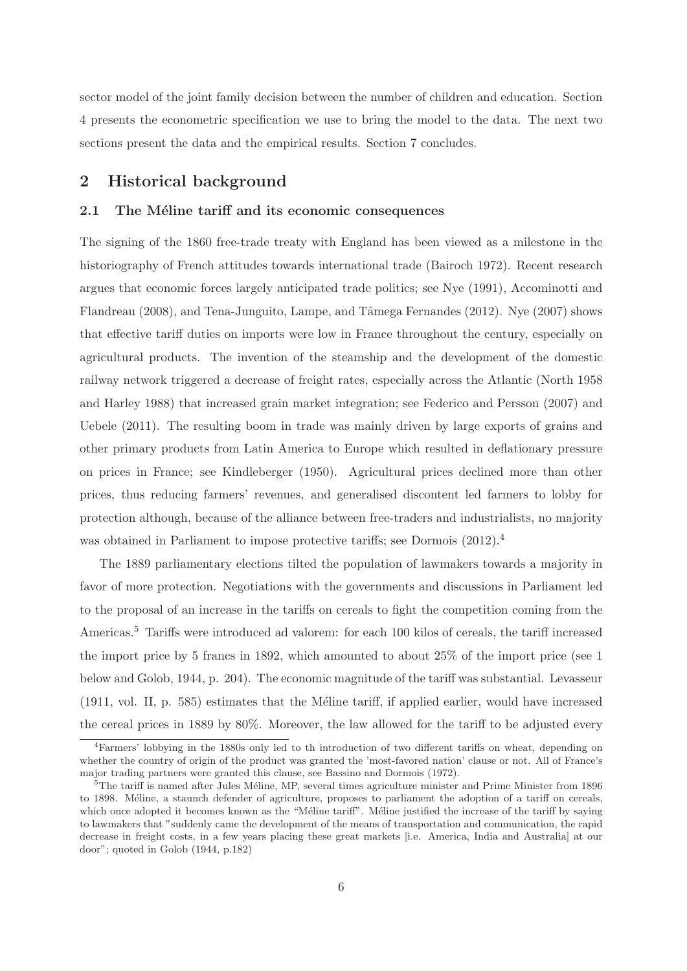sector model of the joint family decision between the number of children and education. Section 4 presents the econometric specification we use to bring the model to the data. The next two sections present the data and the empirical results. Section 7 concludes.

## **2 Historical background**

## 2.1 The Méline tariff and its economic consequences

The signing of the 1860 free-trade treaty with England has been viewed as a milestone in the historiography of French attitudes towards international trade (Bairoch 1972). Recent research argues that economic forces largely anticipated trade politics; see Nye (1991), Accominotti and Flandreau (2008), and Tena-Junguito, Lampe, and Tâmega Fernandes (2012). Nye (2007) shows that effective tariff duties on imports were low in France throughout the century, especially on agricultural products. The invention of the steamship and the development of the domestic railway network triggered a decrease of freight rates, especially across the Atlantic (North 1958 and Harley 1988) that increased grain market integration; see Federico and Persson (2007) and Uebele (2011). The resulting boom in trade was mainly driven by large exports of grains and other primary products from Latin America to Europe which resulted in deflationary pressure on prices in France; see Kindleberger (1950). Agricultural prices declined more than other prices, thus reducing farmers' revenues, and generalised discontent led farmers to lobby for protection although, because of the alliance between free-traders and industrialists, no majority was obtained in Parliament to impose protective tariffs; see Dormois  $(2012).<sup>4</sup>$ 

The 1889 parliamentary elections tilted the population of lawmakers towards a majority in favor of more protection. Negotiations with the governments and discussions in Parliament led to the proposal of an increase in the tariffs on cereals to fight the competition coming from the Americas.<sup>5</sup> Tariffs were introduced ad valorem: for each 100 kilos of cereals, the tariff increased the import price by 5 francs in 1892, which amounted to about 25% of the import price (see 1 below and Golob, 1944, p. 204). The economic magnitude of the tariff was substantial. Levasseur  $(1911, \text{vol. II}, p. 585)$  estimates that the Méline tariff, if applied earlier, would have increased the cereal prices in 1889 by 80%. Moreover, the law allowed for the tariff to be adjusted every

<sup>4</sup>Farmers' lobbying in the 1880s only led to th introduction of two different tariffs on wheat, depending on whether the country of origin of the product was granted the 'most-favored nation' clause or not. All of France's major trading partners were granted this clause, see Bassino and Dormois (1972).

 $5$ The tariff is named after Jules Méline, MP, several times agriculture minister and Prime Minister from 1896 to 1898. Méline, a staunch defender of agriculture, proposes to parliament the adoption of a tariff on cereals, which once adopted it becomes known as the "Méline tariff". Méline justified the increase of the tariff by saying to lawmakers that "suddenly came the development of the means of transportation and communication, the rapid decrease in freight costs, in a few years placing these great markets [i.e. America, India and Australia] at our door"; quoted in Golob (1944, p.182)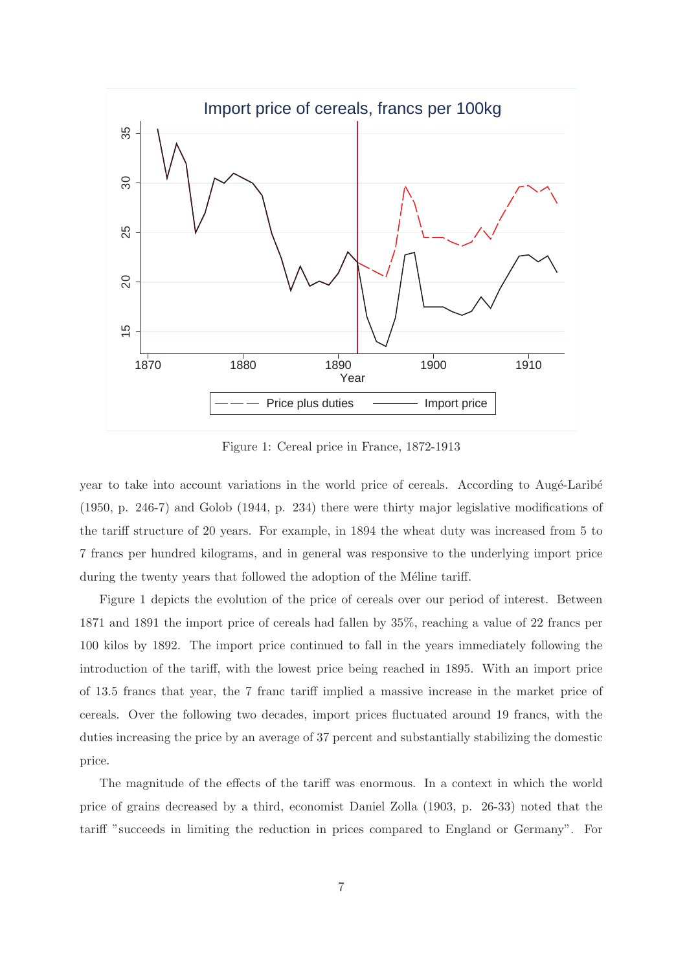

Figure 1: Cereal price in France, 1872-1913

year to take into account variations in the world price of cereals. According to Augé-Laribé (1950, p. 246-7) and Golob (1944, p. 234) there were thirty major legislative modifications of the tariff structure of 20 years. For example, in 1894 the wheat duty was increased from 5 to 7 francs per hundred kilograms, and in general was responsive to the underlying import price during the twenty years that followed the adoption of the Méline tariff.

Figure 1 depicts the evolution of the price of cereals over our period of interest. Between 1871 and 1891 the import price of cereals had fallen by 35%, reaching a value of 22 francs per 100 kilos by 1892. The import price continued to fall in the years immediately following the introduction of the tariff, with the lowest price being reached in 1895. With an import price of 13.5 francs that year, the 7 franc tariff implied a massive increase in the market price of cereals. Over the following two decades, import prices fluctuated around 19 francs, with the duties increasing the price by an average of 37 percent and substantially stabilizing the domestic price.

The magnitude of the effects of the tariff was enormous. In a context in which the world price of grains decreased by a third, economist Daniel Zolla (1903, p. 26-33) noted that the tariff "succeeds in limiting the reduction in prices compared to England or Germany". For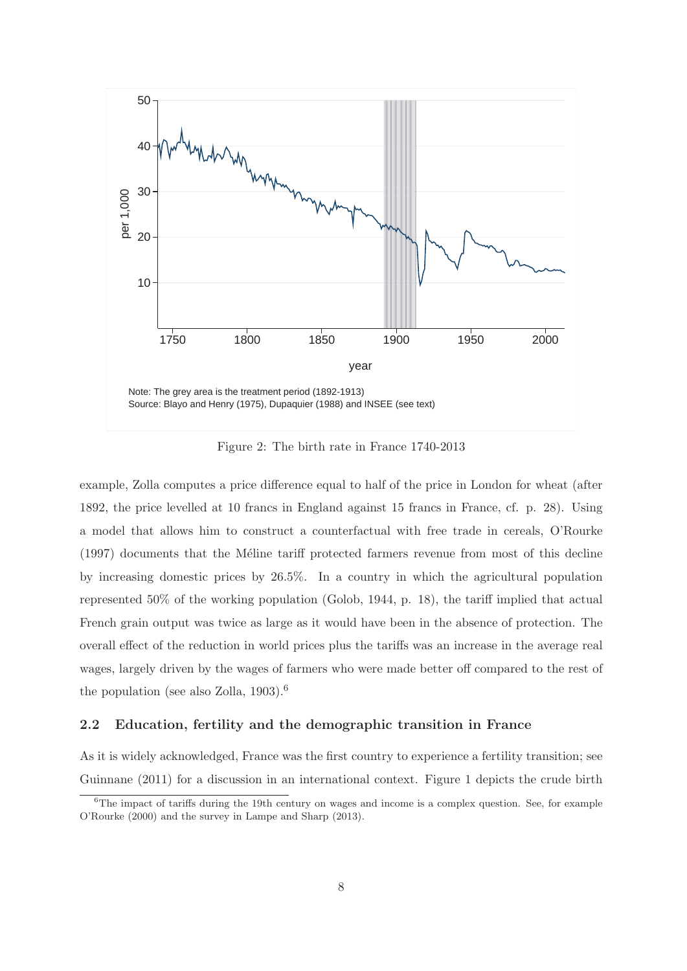

Figure 2: The birth rate in France 1740-2013

example, Zolla computes a price difference equal to half of the price in London for wheat (after 1892, the price levelled at 10 francs in England against 15 francs in France, cf. p. 28). Using a model that allows him to construct a counterfactual with free trade in cereals, O'Rourke  $(1997)$  documents that the Méline tariff protected farmers revenue from most of this decline by increasing domestic prices by 26.5%. In a country in which the agricultural population represented 50% of the working population (Golob, 1944, p. 18), the tariff implied that actual French grain output was twice as large as it would have been in the absence of protection. The overall effect of the reduction in world prices plus the tariffs was an increase in the average real wages, largely driven by the wages of farmers who were made better off compared to the rest of the population (see also Zolla, 1903).<sup>6</sup>

## **2.2 Education, fertility and the demographic transition in France**

As it is widely acknowledged, France was the first country to experience a fertility transition; see Guinnane (2011) for a discussion in an international context. Figure 1 depicts the crude birth

 $6$ The impact of tariffs during the 19th century on wages and income is a complex question. See, for example O'Rourke (2000) and the survey in Lampe and Sharp (2013).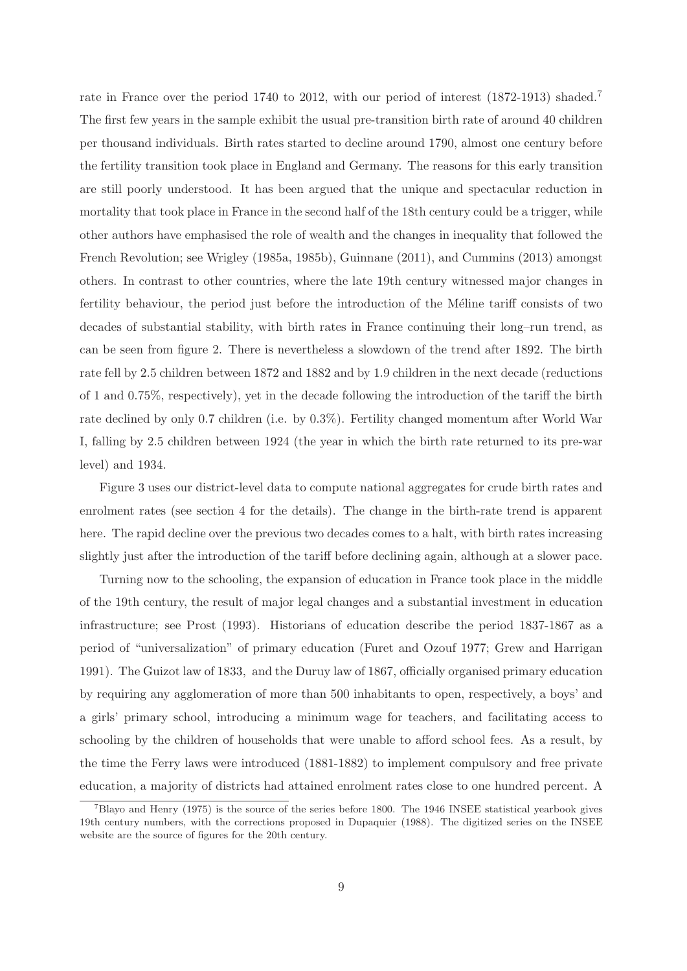rate in France over the period 1740 to 2012, with our period of interest (1872-1913) shaded.<sup>7</sup> The first few years in the sample exhibit the usual pre-transition birth rate of around 40 children per thousand individuals. Birth rates started to decline around 1790, almost one century before the fertility transition took place in England and Germany. The reasons for this early transition are still poorly understood. It has been argued that the unique and spectacular reduction in mortality that took place in France in the second half of the 18th century could be a trigger, while other authors have emphasised the role of wealth and the changes in inequality that followed the French Revolution; see Wrigley (1985a, 1985b), Guinnane (2011), and Cummins (2013) amongst others. In contrast to other countries, where the late 19th century witnessed major changes in fertility behaviour, the period just before the introduction of the Méline tariff consists of two decades of substantial stability, with birth rates in France continuing their long–run trend, as can be seen from figure 2. There is nevertheless a slowdown of the trend after 1892. The birth rate fell by 2.5 children between 1872 and 1882 and by 1.9 children in the next decade (reductions of 1 and 0.75%, respectively), yet in the decade following the introduction of the tariff the birth rate declined by only 0.7 children (i.e. by 0.3%). Fertility changed momentum after World War I, falling by 2.5 children between 1924 (the year in which the birth rate returned to its pre-war level) and 1934.

Figure 3 uses our district-level data to compute national aggregates for crude birth rates and enrolment rates (see section 4 for the details). The change in the birth-rate trend is apparent here. The rapid decline over the previous two decades comes to a halt, with birth rates increasing slightly just after the introduction of the tariff before declining again, although at a slower pace.

Turning now to the schooling, the expansion of education in France took place in the middle of the 19th century, the result of major legal changes and a substantial investment in education infrastructure; see Prost (1993). Historians of education describe the period 1837-1867 as a period of "universalization" of primary education (Furet and Ozouf 1977; Grew and Harrigan 1991). The Guizot law of 1833, and the Duruy law of 1867, officially organised primary education by requiring any agglomeration of more than 500 inhabitants to open, respectively, a boys' and a girls' primary school, introducing a minimum wage for teachers, and facilitating access to schooling by the children of households that were unable to afford school fees. As a result, by the time the Ferry laws were introduced (1881-1882) to implement compulsory and free private education, a majority of districts had attained enrolment rates close to one hundred percent. A

 $^7$ Blayo and Henry (1975) is the source of the series before 1800. The 1946 INSEE statistical yearbook gives 19th century numbers, with the corrections proposed in Dupaquier (1988). The digitized series on the INSEE website are the source of figures for the 20th century.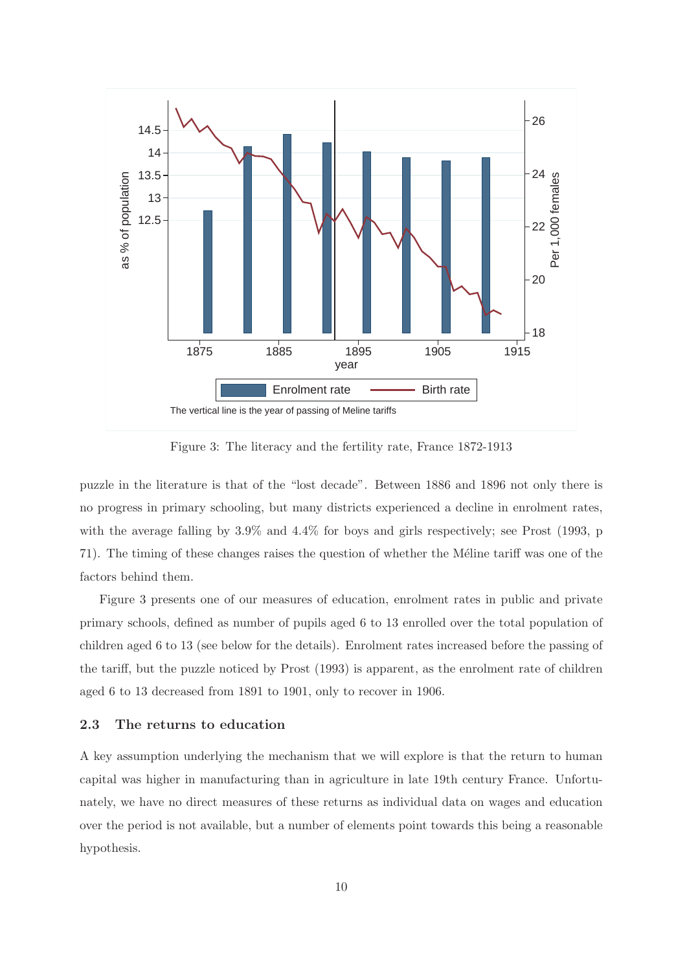

Figure 3: The literacy and the fertility rate, France 1872-1913

puzzle in the literature is that of the "lost decade". Between 1886 and 1896 not only there is no progress in primary schooling, but many districts experienced a decline in enrolment rates, with the average falling by 3.9% and 4.4% for boys and girls respectively; see Prost (1993, p 71). The timing of these changes raises the question of whether the Méline tariff was one of the factors behind them.

Figure 3 presents one of our measures of education, enrolment rates in public and private primary schools, defined as number of pupils aged 6 to 13 enrolled over the total population of children aged 6 to 13 (see below for the details). Enrolment rates increased before the passing of the tariff, but the puzzle noticed by Prost (1993) is apparent, as the enrolment rate of children aged 6 to 13 decreased from 1891 to 1901, only to recover in 1906.

## **2.3 The returns to education**

A key assumption underlying the mechanism that we will explore is that the return to human capital was higher in manufacturing than in agriculture in late 19th century France. Unfortunately, we have no direct measures of these returns as individual data on wages and education over the period is not available, but a number of elements point towards this being a reasonable hypothesis.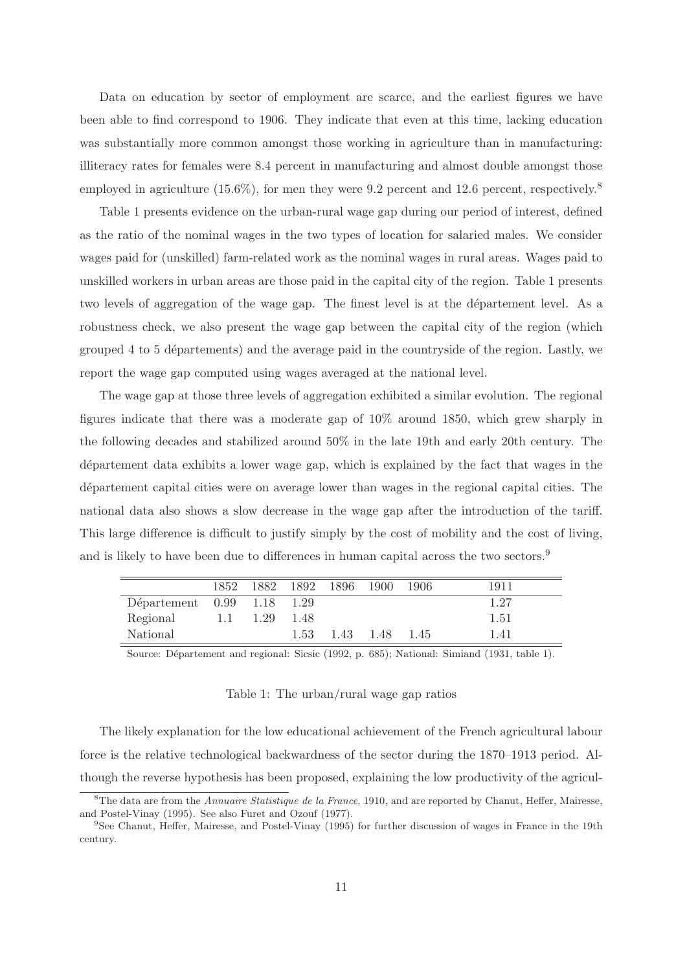Data on education by sector of employment are scarce, and the earliest figures we have been able to find correspond to 1906. They indicate that even at this time, lacking education was substantially more common amongst those working in agriculture than in manufacturing: illiteracy rates for females were 8.4 percent in manufacturing and almost double amongst those employed in agriculture  $(15.6\%)$ , for men they were 9.2 percent and 12.6 percent, respectively.<sup>8</sup>

Table 1 presents evidence on the urban-rural wage gap during our period of interest, defined as the ratio of the nominal wages in the two types of location for salaried males. We consider wages paid for (unskilled) farm-related work as the nominal wages in rural areas. Wages paid to unskilled workers in urban areas are those paid in the capital city of the region. Table 1 presents two levels of aggregation of the wage gap. The finest level is at the département level. As a robustness check, we also present the wage gap between the capital city of the region (which grouped 4 to 5 départements) and the average paid in the countryside of the region. Lastly, we report the wage gap computed using wages averaged at the national level.

The wage gap at those three levels of aggregation exhibited a similar evolution. The regional figures indicate that there was a moderate gap of 10% around 1850, which grew sharply in the following decades and stabilized around 50% in the late 19th and early 20th century. The d´epartement data exhibits a lower wage gap, which is explained by the fact that wages in the departement capital cities were on average lower than wages in the regional capital cities. The national data also shows a slow decrease in the wage gap after the introduction of the tariff. This large difference is difficult to justify simply by the cost of mobility and the cost of living, and is likely to have been due to differences in human capital across the two sectors.<sup>9</sup>

|                            |     | 1852 1882 1892 1896 1900 |      |                | -1906 | 1911 |
|----------------------------|-----|--------------------------|------|----------------|-------|------|
| Département 0.99 1.18 1.29 |     |                          |      |                |       | 1.27 |
| Regional                   | 1.1 | 1.29                     | 1.48 |                |       | 1.51 |
| National                   |     |                          | 1.53 | 1.43 1.48 1.45 |       | 1.41 |

Source: Département and regional: Sicsic (1992, p. 685); National: Simiand (1931, table 1).

#### Table 1: The urban/rural wage gap ratios

The likely explanation for the low educational achievement of the French agricultural labour force is the relative technological backwardness of the sector during the 1870–1913 period. Although the reverse hypothesis has been proposed, explaining the low productivity of the agricul-

<sup>&</sup>lt;sup>8</sup>The data are from the Annuaire Statistique de la France, 1910, and are reported by Chanut, Heffer, Mairesse, and Postel-Vinay (1995). See also Furet and Ozouf (1977).

<sup>&</sup>lt;sup>9</sup>See Chanut, Heffer, Mairesse, and Postel-Vinay (1995) for further discussion of wages in France in the 19th century.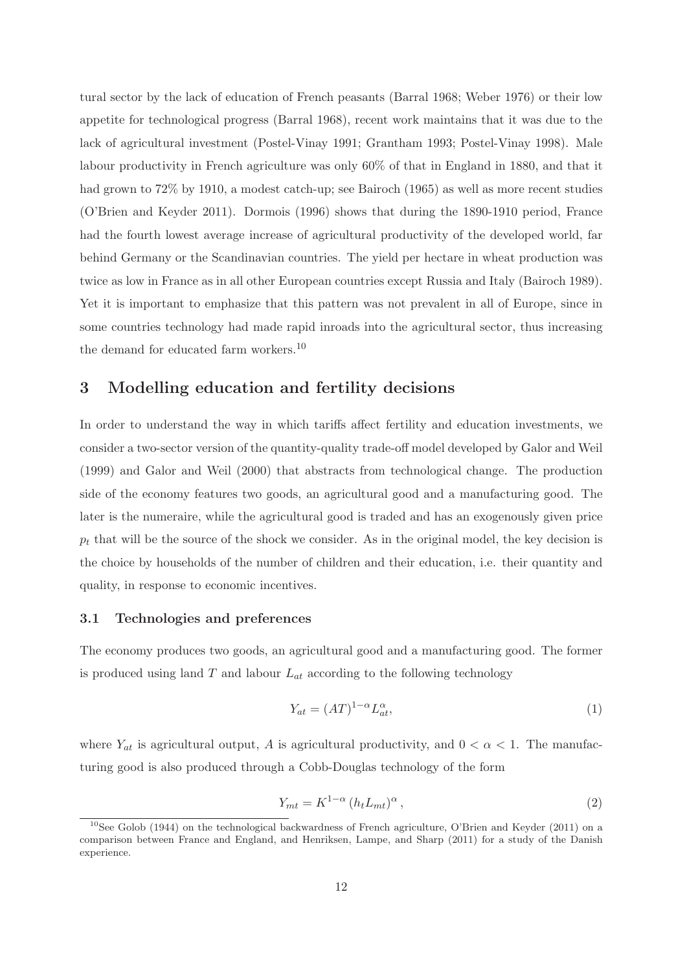tural sector by the lack of education of French peasants (Barral 1968; Weber 1976) or their low appetite for technological progress (Barral 1968), recent work maintains that it was due to the lack of agricultural investment (Postel-Vinay 1991; Grantham 1993; Postel-Vinay 1998). Male labour productivity in French agriculture was only 60% of that in England in 1880, and that it had grown to  $72\%$  by 1910, a modest catch-up; see Bairoch (1965) as well as more recent studies (O'Brien and Keyder 2011). Dormois (1996) shows that during the 1890-1910 period, France had the fourth lowest average increase of agricultural productivity of the developed world, far behind Germany or the Scandinavian countries. The yield per hectare in wheat production was twice as low in France as in all other European countries except Russia and Italy (Bairoch 1989). Yet it is important to emphasize that this pattern was not prevalent in all of Europe, since in some countries technology had made rapid inroads into the agricultural sector, thus increasing the demand for educated farm workers.<sup>10</sup>

## **3 Modelling education and fertility decisions**

In order to understand the way in which tariffs affect fertility and education investments, we consider a two-sector version of the quantity-quality trade-off model developed by Galor and Weil (1999) and Galor and Weil (2000) that abstracts from technological change. The production side of the economy features two goods, an agricultural good and a manufacturing good. The later is the numeraire, while the agricultural good is traded and has an exogenously given price  $p_t$  that will be the source of the shock we consider. As in the original model, the key decision is the choice by households of the number of children and their education, i.e. their quantity and quality, in response to economic incentives.

#### **3.1 Technologies and preferences**

The economy produces two goods, an agricultural good and a manufacturing good. The former is produced using land  $T$  and labour  $L_{at}$  according to the following technology

$$
Y_{at} = (AT)^{1-\alpha} L_{at}^{\alpha},\tag{1}
$$

where  $Y_{at}$  is agricultural output, A is agricultural productivity, and  $0 < \alpha < 1$ . The manufacturing good is also produced through a Cobb-Douglas technology of the form

$$
Y_{mt} = K^{1-\alpha} \left( h_t L_{mt} \right)^{\alpha},\tag{2}
$$

<sup>&</sup>lt;sup>10</sup>See Golob (1944) on the technological backwardness of French agriculture, O'Brien and Keyder (2011) on a comparison between France and England, and Henriksen, Lampe, and Sharp (2011) for a study of the Danish experience.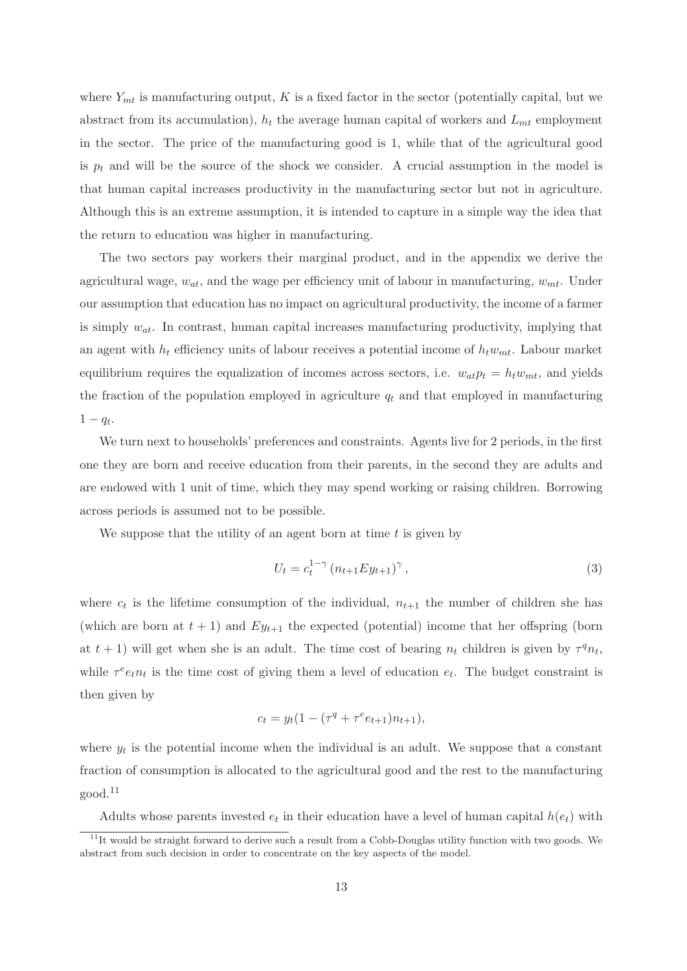where  $Y_{mt}$  is manufacturing output, K is a fixed factor in the sector (potentially capital, but we abstract from its accumulation),  $h_t$  the average human capital of workers and  $L_{mt}$  employment in the sector. The price of the manufacturing good is 1, while that of the agricultural good is  $p_t$  and will be the source of the shock we consider. A crucial assumption in the model is that human capital increases productivity in the manufacturing sector but not in agriculture. Although this is an extreme assumption, it is intended to capture in a simple way the idea that the return to education was higher in manufacturing.

The two sectors pay workers their marginal product, and in the appendix we derive the agricultural wage,  $w_{at}$ , and the wage per efficiency unit of labour in manufacturing,  $w_{mt}$ . Under our assumption that education has no impact on agricultural productivity, the income of a farmer is simply  $w_{at}$ . In contrast, human capital increases manufacturing productivity, implying that an agent with  $h_t$  efficiency units of labour receives a potential income of  $h_t w_{mt}$ . Labour market equilibrium requires the equalization of incomes across sectors, i.e.  $w_{at}p_t = h_t w_{mt}$ , and yields the fraction of the population employed in agriculture  $q_t$  and that employed in manufacturing  $1 - q_t$ .

We turn next to households' preferences and constraints. Agents live for 2 periods, in the first one they are born and receive education from their parents, in the second they are adults and are endowed with 1 unit of time, which they may spend working or raising children. Borrowing across periods is assumed not to be possible.

We suppose that the utility of an agent born at time  $t$  is given by

$$
U_t = c_t^{1-\gamma} (n_{t+1} E y_{t+1})^{\gamma}, \qquad (3)
$$

where  $c_t$  is the lifetime consumption of the individual,  $n_{t+1}$  the number of children she has (which are born at  $t + 1$ ) and  $Ey_{t+1}$  the expected (potential) income that her offspring (born at  $t + 1$ ) will get when she is an adult. The time cost of bearing  $n_t$  children is given by  $\tau^q n_t$ , while  $\tau^e e_t n_t$  is the time cost of giving them a level of education  $e_t$ . The budget constraint is then given by

$$
c_t = y_t(1 - (\tau^q + \tau^e e_{t+1})n_{t+1}),
$$

where  $y_t$  is the potential income when the individual is an adult. We suppose that a constant fraction of consumption is allocated to the agricultural good and the rest to the manufacturing good.<sup>11</sup>

Adults whose parents invested  $e_t$  in their education have a level of human capital  $h(e_t)$  with

<sup>&</sup>lt;sup>11</sup>It would be straight forward to derive such a result from a Cobb-Douglas utility function with two goods. We abstract from such decision in order to concentrate on the key aspects of the model.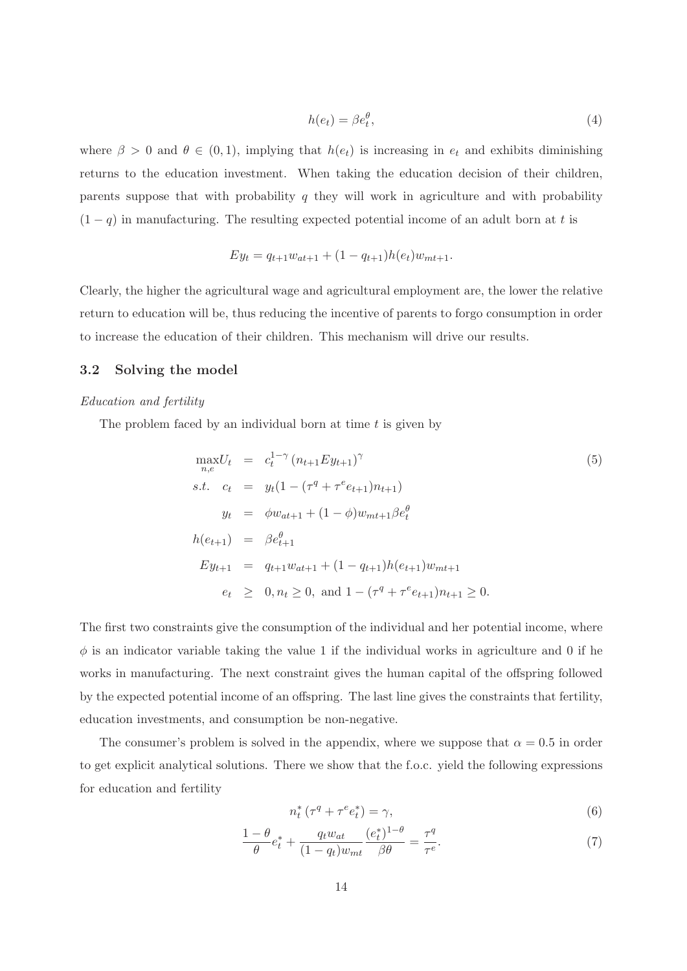$$
h(e_t) = \beta e_t^{\theta},\tag{4}
$$

where  $\beta > 0$  and  $\theta \in (0, 1)$ , implying that  $h(e_t)$  is increasing in  $e_t$  and exhibits diminishing returns to the education investment. When taking the education decision of their children, parents suppose that with probability q they will work in agriculture and with probability  $(1 - q)$  in manufacturing. The resulting expected potential income of an adult born at t is

$$
Ey_t = q_{t+1}w_{at+1} + (1 - q_{t+1})h(e_t)w_{mt+1}.
$$

Clearly, the higher the agricultural wage and agricultural employment are, the lower the relative return to education will be, thus reducing the incentive of parents to forgo consumption in order to increase the education of their children. This mechanism will drive our results.

#### **3.2 Solving the model**

#### Education and fertility

The problem faced by an individual born at time  $t$  is given by

$$
\max_{n,e} U_t = c_t^{1-\gamma} (n_{t+1} E y_{t+1})^{\gamma}
$$
\n
$$
s.t. \quad c_t = y_t (1 - (\tau^q + \tau^e e_{t+1}) n_{t+1})
$$
\n
$$
y_t = \phi w_{at+1} + (1 - \phi) w_{mt+1} \beta e_t^{\theta}
$$
\n
$$
h(e_{t+1}) = \beta e_{t+1}^{\theta}
$$
\n
$$
E y_{t+1} = q_{t+1} w_{at+1} + (1 - q_{t+1}) h(e_{t+1}) w_{mt+1}
$$
\n
$$
e_t \geq 0, n_t \geq 0, \text{ and } 1 - (\tau^q + \tau^e e_{t+1}) n_{t+1} \geq 0.
$$
\n
$$
(5)
$$

The first two constraints give the consumption of the individual and her potential income, where  $\phi$  is an indicator variable taking the value 1 if the individual works in agriculture and 0 if he works in manufacturing. The next constraint gives the human capital of the offspring followed by the expected potential income of an offspring. The last line gives the constraints that fertility, education investments, and consumption be non-negative.

The consumer's problem is solved in the appendix, where we suppose that  $\alpha = 0.5$  in order to get explicit analytical solutions. There we show that the f.o.c. yield the following expressions for education and fertility

$$
n_t^* \left( \tau^q + \tau^e e_t^* \right) = \gamma,\tag{6}
$$

$$
\frac{1-\theta}{\theta}e_t^* + \frac{q_t w_{at}}{(1-q_t)w_{mt}}\frac{(e_t^*)^{1-\theta}}{\beta \theta} = \frac{\tau^q}{\tau^e}.\tag{7}
$$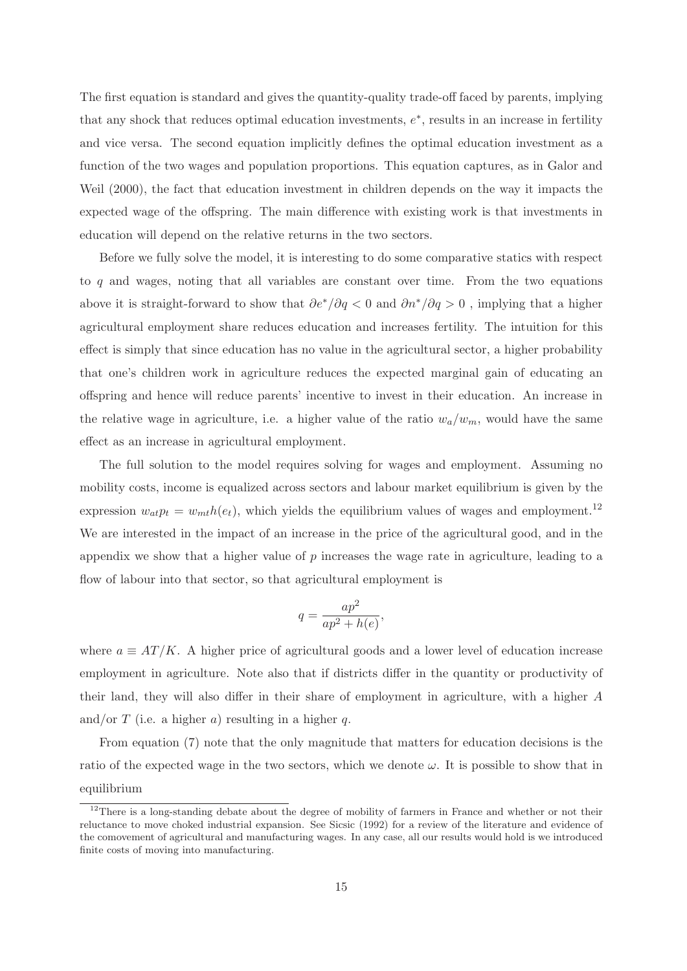The first equation is standard and gives the quantity-quality trade-off faced by parents, implying that any shock that reduces optimal education investments,  $e^*$ , results in an increase in fertility and vice versa. The second equation implicitly defines the optimal education investment as a function of the two wages and population proportions. This equation captures, as in Galor and Weil (2000), the fact that education investment in children depends on the way it impacts the expected wage of the offspring. The main difference with existing work is that investments in education will depend on the relative returns in the two sectors.

Before we fully solve the model, it is interesting to do some comparative statics with respect to q and wages, noting that all variables are constant over time. From the two equations above it is straight-forward to show that  $\partial e^*/\partial q < 0$  and  $\partial n^*/\partial q > 0$ , implying that a higher agricultural employment share reduces education and increases fertility. The intuition for this effect is simply that since education has no value in the agricultural sector, a higher probability that one's children work in agriculture reduces the expected marginal gain of educating an offspring and hence will reduce parents' incentive to invest in their education. An increase in the relative wage in agriculture, i.e. a higher value of the ratio  $w_a/w_m$ , would have the same effect as an increase in agricultural employment.

The full solution to the model requires solving for wages and employment. Assuming no mobility costs, income is equalized across sectors and labour market equilibrium is given by the expression  $w_{at}p_t = w_{mt}h(e_t)$ , which yields the equilibrium values of wages and employment.<sup>12</sup> We are interested in the impact of an increase in the price of the agricultural good, and in the appendix we show that a higher value of p increases the wage rate in agriculture, leading to a flow of labour into that sector, so that agricultural employment is

$$
q = \frac{ap^2}{ap^2 + h(e)},
$$

where  $a \equiv AT/K$ . A higher price of agricultural goods and a lower level of education increase employment in agriculture. Note also that if districts differ in the quantity or productivity of their land, they will also differ in their share of employment in agriculture, with a higher A and/or T (i.e. a higher a) resulting in a higher q.

From equation (7) note that the only magnitude that matters for education decisions is the ratio of the expected wage in the two sectors, which we denote  $\omega$ . It is possible to show that in equilibrium

<sup>&</sup>lt;sup>12</sup>There is a long-standing debate about the degree of mobility of farmers in France and whether or not their reluctance to move choked industrial expansion. See Sicsic (1992) for a review of the literature and evidence of the comovement of agricultural and manufacturing wages. In any case, all our results would hold is we introduced finite costs of moving into manufacturing.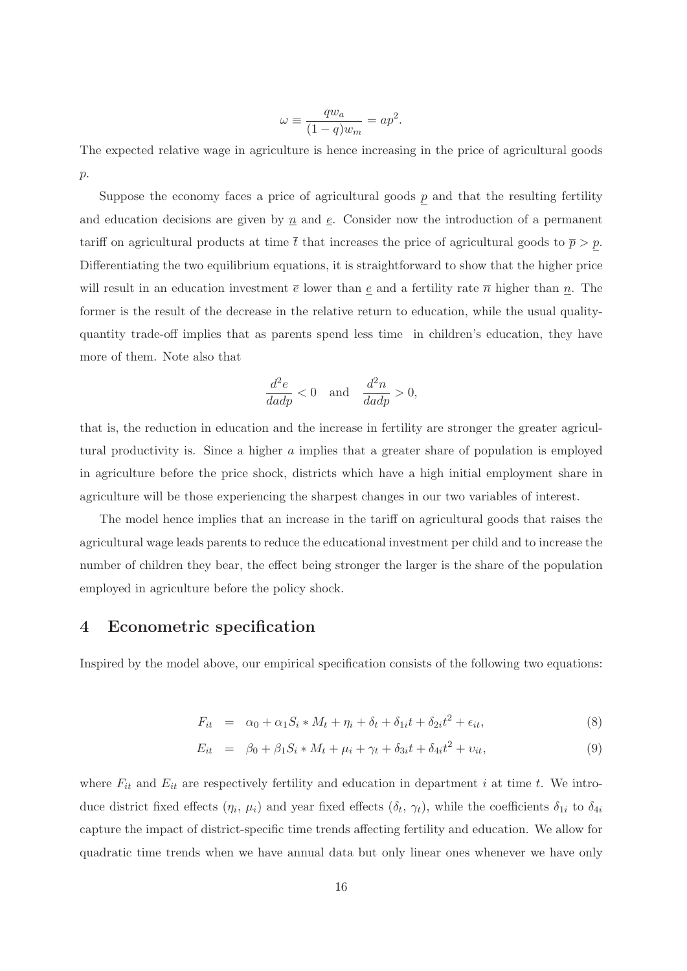$$
\omega \equiv \frac{q w_a}{(1-q) w_m} = a p^2.
$$

The expected relative wage in agriculture is hence increasing in the price of agricultural goods  $p$ .

Suppose the economy faces a price of agricultural goods  $p$  and that the resulting fertility and education decisions are given by  $\underline{n}$  and  $\underline{e}$ . Consider now the introduction of a permanent tariff on agricultural products at time  $\bar{t}$  that increases the price of agricultural goods to  $\bar{p} > p$ . Differentiating the two equilibrium equations, it is straightforward to show that the higher price will result in an education investment  $\bar{e}$  lower than e and a fertility rate  $\bar{n}$  higher than n. The former is the result of the decrease in the relative return to education, while the usual qualityquantity trade-off implies that as parents spend less time in children's education, they have more of them. Note also that

$$
\frac{d^2e}{dadp} < 0 \quad \text{and} \quad \frac{d^2n}{dadp} > 0,
$$

that is, the reduction in education and the increase in fertility are stronger the greater agricultural productivity is. Since a higher a implies that a greater share of population is employed in agriculture before the price shock, districts which have a high initial employment share in agriculture will be those experiencing the sharpest changes in our two variables of interest.

The model hence implies that an increase in the tariff on agricultural goods that raises the agricultural wage leads parents to reduce the educational investment per child and to increase the number of children they bear, the effect being stronger the larger is the share of the population employed in agriculture before the policy shock.

## **4 Econometric specification**

Inspired by the model above, our empirical specification consists of the following two equations:

$$
F_{it} = \alpha_0 + \alpha_1 S_i * M_t + \eta_i + \delta_t + \delta_{1i} t + \delta_{2i} t^2 + \epsilon_{it}, \qquad (8)
$$

$$
E_{it} = \beta_0 + \beta_1 S_i * M_t + \mu_i + \gamma_t + \delta_{3i} t + \delta_{4i} t^2 + \nu_{it}, \qquad (9)
$$

where  $F_{it}$  and  $E_{it}$  are respectively fertility and education in department i at time t. We introduce district fixed effects  $(\eta_i, \mu_i)$  and year fixed effects  $(\delta_t, \gamma_t)$ , while the coefficients  $\delta_{1i}$  to  $\delta_{4i}$ capture the impact of district-specific time trends affecting fertility and education. We allow for quadratic time trends when we have annual data but only linear ones whenever we have only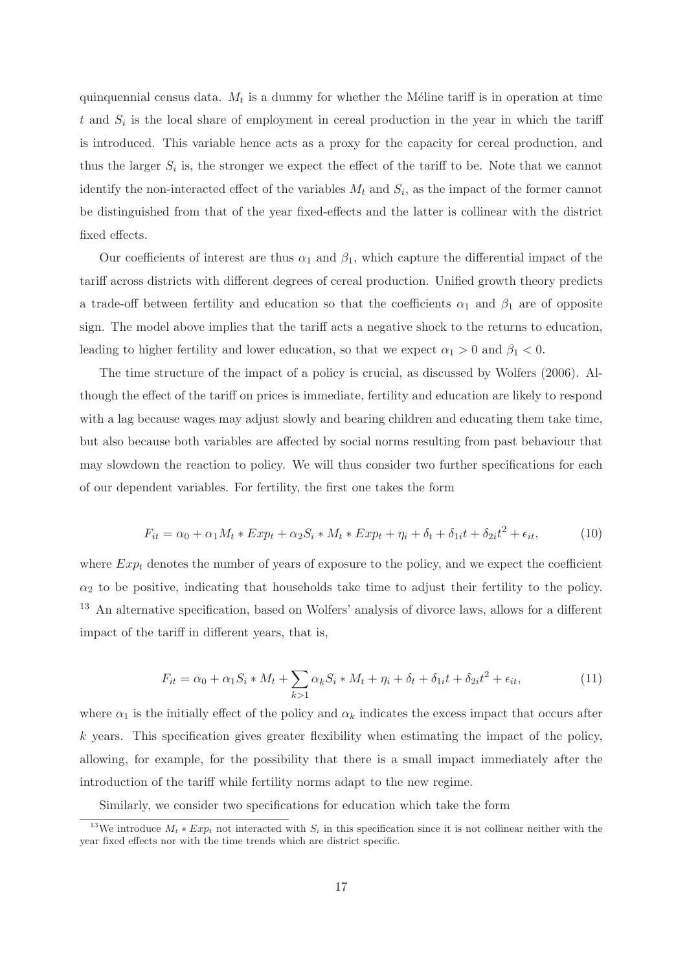quinquennial census data.  $M_t$  is a dummy for whether the Méline tariff is in operation at time t and  $S_i$  is the local share of employment in cereal production in the year in which the tariff is introduced. This variable hence acts as a proxy for the capacity for cereal production, and thus the larger  $S_i$  is, the stronger we expect the effect of the tariff to be. Note that we cannot identify the non-interacted effect of the variables  $M_t$  and  $S_i$ , as the impact of the former cannot be distinguished from that of the year fixed-effects and the latter is collinear with the district fixed effects.

Our coefficients of interest are thus  $\alpha_1$  and  $\beta_1$ , which capture the differential impact of the tariff across districts with different degrees of cereal production. Unified growth theory predicts a trade-off between fertility and education so that the coefficients  $\alpha_1$  and  $\beta_1$  are of opposite sign. The model above implies that the tariff acts a negative shock to the returns to education, leading to higher fertility and lower education, so that we expect  $\alpha_1 > 0$  and  $\beta_1 < 0$ .

The time structure of the impact of a policy is crucial, as discussed by Wolfers (2006). Although the effect of the tariff on prices is immediate, fertility and education are likely to respond with a lag because wages may adjust slowly and bearing children and educating them take time, but also because both variables are affected by social norms resulting from past behaviour that may slowdown the reaction to policy. We will thus consider two further specifications for each of our dependent variables. For fertility, the first one takes the form

$$
F_{it} = \alpha_0 + \alpha_1 M_t * Exp_t + \alpha_2 S_i * M_t * Exp_t + \eta_i + \delta_t + \delta_{1i} t + \delta_{2i} t^2 + \epsilon_{it},
$$
\n(10)

where  $Exp_t$  denotes the number of years of exposure to the policy, and we expect the coefficient  $\alpha_2$  to be positive, indicating that households take time to adjust their fertility to the policy. <sup>13</sup> An alternative specification, based on Wolfers' analysis of divorce laws, allows for a different impact of the tariff in different years, that is,

$$
F_{it} = \alpha_0 + \alpha_1 S_i * M_t + \sum_{k>1} \alpha_k S_i * M_t + \eta_i + \delta_t + \delta_{1i} t + \delta_{2i} t^2 + \epsilon_{it},\tag{11}
$$

where  $\alpha_1$  is the initially effect of the policy and  $\alpha_k$  indicates the excess impact that occurs after  $k$  years. This specification gives greater flexibility when estimating the impact of the policy, allowing, for example, for the possibility that there is a small impact immediately after the introduction of the tariff while fertility norms adapt to the new regime.

Similarly, we consider two specifications for education which take the form

<sup>&</sup>lt;sup>13</sup>We introduce  $M_t * Exp_t$  not interacted with  $S_i$  in this specification since it is not collinear neither with the year fixed effects nor with the time trends which are district specific.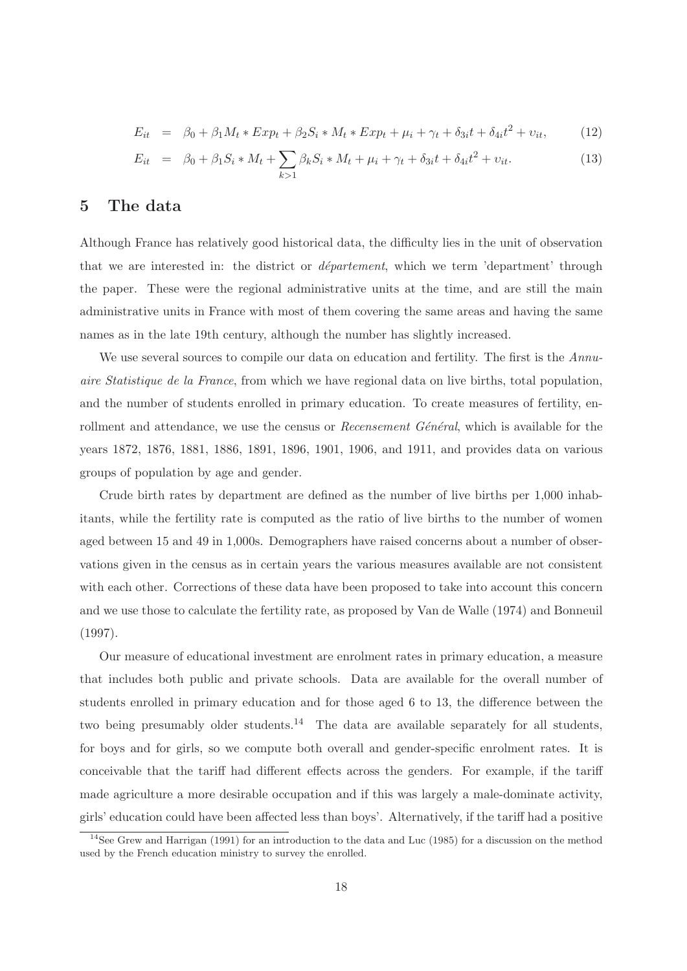$$
E_{it} = \beta_0 + \beta_1 M_t * Exp_t + \beta_2 S_i * M_t * Exp_t + \mu_i + \gamma_t + \delta_{3i} t + \delta_{4i} t^2 + \nu_{it}, \qquad (12)
$$

$$
E_{it} = \beta_0 + \beta_1 S_i * M_t + \sum_{k>1} \beta_k S_i * M_t + \mu_i + \gamma_t + \delta_{3i} t + \delta_{4i} t^2 + \nu_{it}. \tag{13}
$$

## **5 The data**

Although France has relatively good historical data, the difficulty lies in the unit of observation that we are interested in: the district or  $d\acute{e}parent$ , which we term 'department' through the paper. These were the regional administrative units at the time, and are still the main administrative units in France with most of them covering the same areas and having the same names as in the late 19th century, although the number has slightly increased.

We use several sources to compile our data on education and fertility. The first is the Annuaire Statistique de la France, from which we have regional data on live births, total population, and the number of students enrolled in primary education. To create measures of fertility, enrollment and attendance, we use the census or *Recensement Général*, which is available for the years 1872, 1876, 1881, 1886, 1891, 1896, 1901, 1906, and 1911, and provides data on various groups of population by age and gender.

Crude birth rates by department are defined as the number of live births per 1,000 inhabitants, while the fertility rate is computed as the ratio of live births to the number of women aged between 15 and 49 in 1,000s. Demographers have raised concerns about a number of observations given in the census as in certain years the various measures available are not consistent with each other. Corrections of these data have been proposed to take into account this concern and we use those to calculate the fertility rate, as proposed by Van de Walle (1974) and Bonneuil (1997).

Our measure of educational investment are enrolment rates in primary education, a measure that includes both public and private schools. Data are available for the overall number of students enrolled in primary education and for those aged 6 to 13, the difference between the two being presumably older students.<sup>14</sup> The data are available separately for all students, for boys and for girls, so we compute both overall and gender-specific enrolment rates. It is conceivable that the tariff had different effects across the genders. For example, if the tariff made agriculture a more desirable occupation and if this was largely a male-dominate activity, girls' education could have been affected less than boys'. Alternatively, if the tariff had a positive

<sup>&</sup>lt;sup>14</sup>See Grew and Harrigan (1991) for an introduction to the data and Luc (1985) for a discussion on the method used by the French education ministry to survey the enrolled.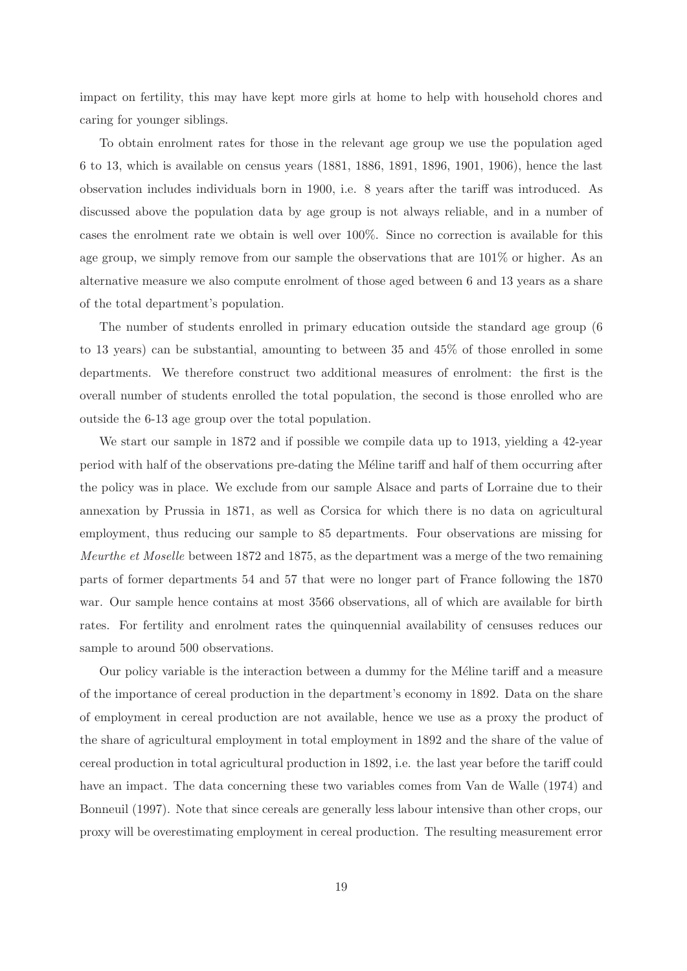impact on fertility, this may have kept more girls at home to help with household chores and caring for younger siblings.

To obtain enrolment rates for those in the relevant age group we use the population aged 6 to 13, which is available on census years (1881, 1886, 1891, 1896, 1901, 1906), hence the last observation includes individuals born in 1900, i.e. 8 years after the tariff was introduced. As discussed above the population data by age group is not always reliable, and in a number of cases the enrolment rate we obtain is well over 100%. Since no correction is available for this age group, we simply remove from our sample the observations that are 101% or higher. As an alternative measure we also compute enrolment of those aged between 6 and 13 years as a share of the total department's population.

The number of students enrolled in primary education outside the standard age group (6 to 13 years) can be substantial, amounting to between 35 and 45% of those enrolled in some departments. We therefore construct two additional measures of enrolment: the first is the overall number of students enrolled the total population, the second is those enrolled who are outside the 6-13 age group over the total population.

We start our sample in 1872 and if possible we compile data up to 1913, yielding a 42-year period with half of the observations pre-dating the Méline tariff and half of them occurring after the policy was in place. We exclude from our sample Alsace and parts of Lorraine due to their annexation by Prussia in 1871, as well as Corsica for which there is no data on agricultural employment, thus reducing our sample to 85 departments. Four observations are missing for Meurthe et Moselle between 1872 and 1875, as the department was a merge of the two remaining parts of former departments 54 and 57 that were no longer part of France following the 1870 war. Our sample hence contains at most 3566 observations, all of which are available for birth rates. For fertility and enrolment rates the quinquennial availability of censuses reduces our sample to around 500 observations.

Our policy variable is the interaction between a dummy for the Méline tariff and a measure of the importance of cereal production in the department's economy in 1892. Data on the share of employment in cereal production are not available, hence we use as a proxy the product of the share of agricultural employment in total employment in 1892 and the share of the value of cereal production in total agricultural production in 1892, i.e. the last year before the tariff could have an impact. The data concerning these two variables comes from Van de Walle (1974) and Bonneuil (1997). Note that since cereals are generally less labour intensive than other crops, our proxy will be overestimating employment in cereal production. The resulting measurement error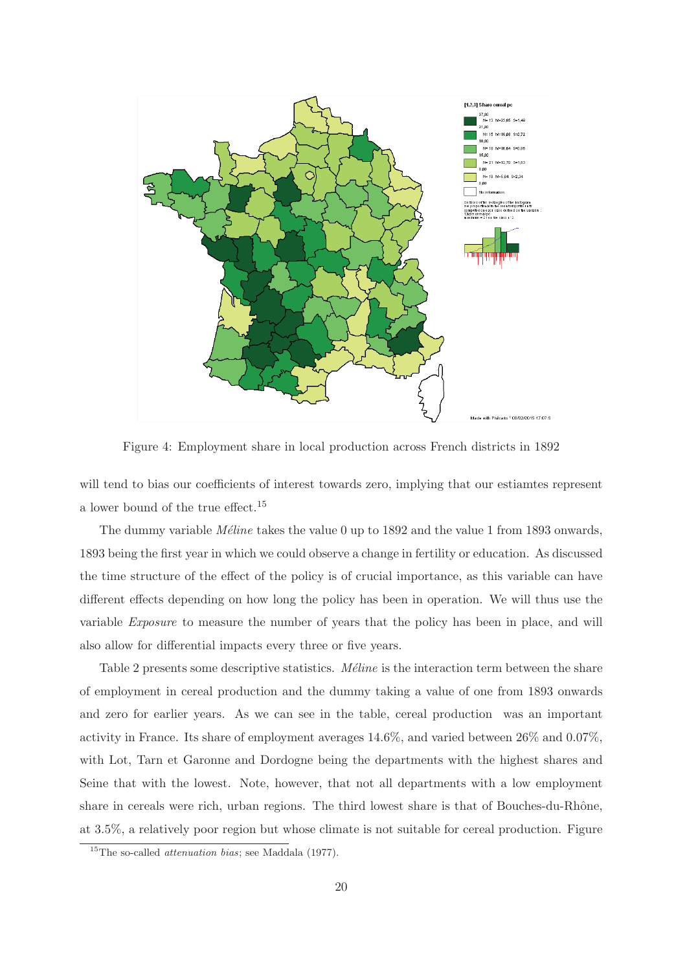

Figure 4: Employment share in local production across French districts in 1892

will tend to bias our coefficients of interest towards zero, implying that our estiamtes represent a lower bound of the true effect.<sup>15</sup>

The dummy variable *M*<sup>eline</sup> takes the value 0 up to 1892 and the value 1 from 1893 onwards, 1893 being the first year in which we could observe a change in fertility or education. As discussed the time structure of the effect of the policy is of crucial importance, as this variable can have different effects depending on how long the policy has been in operation. We will thus use the variable Exposure to measure the number of years that the policy has been in place, and will also allow for differential impacts every three or five years.

Table 2 presents some descriptive statistics. *Méline* is the interaction term between the share of employment in cereal production and the dummy taking a value of one from 1893 onwards and zero for earlier years. As we can see in the table, cereal production was an important activity in France. Its share of employment averages 14.6%, and varied between 26% and 0.07%, with Lot, Tarn et Garonne and Dordogne being the departments with the highest shares and Seine that with the lowest. Note, however, that not all departments with a low employment share in cereals were rich, urban regions. The third lowest share is that of Bouches-du-Rhône, at 3.5%, a relatively poor region but whose climate is not suitable for cereal production. Figure

<sup>&</sup>lt;sup>15</sup>The so-called *attenuation bias*; see Maddala  $(1977)$ .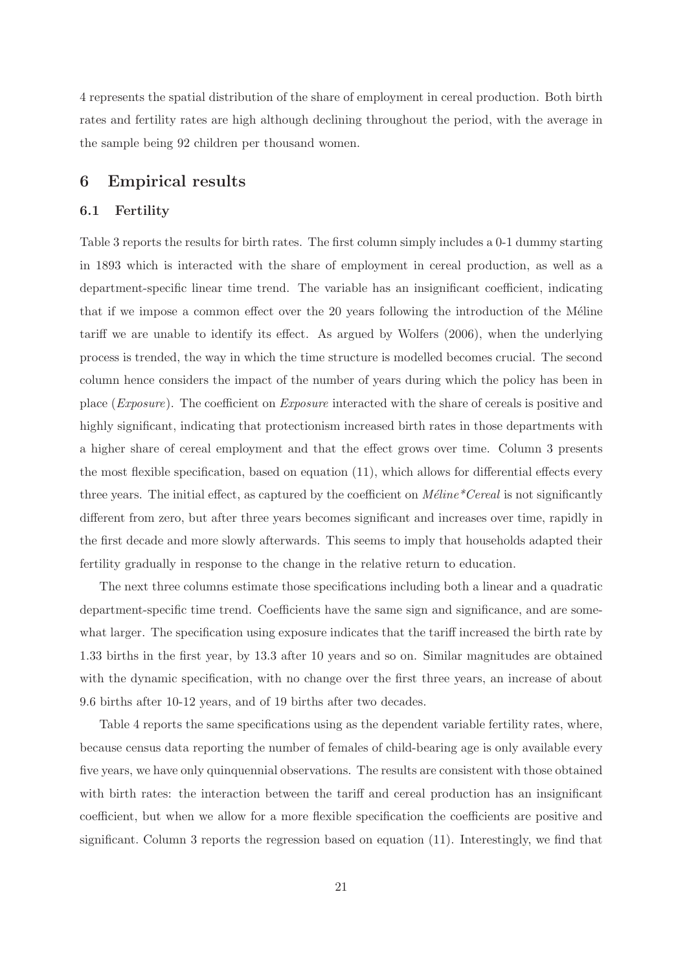4 represents the spatial distribution of the share of employment in cereal production. Both birth rates and fertility rates are high although declining throughout the period, with the average in the sample being 92 children per thousand women.

## **6 Empirical results**

#### **6.1 Fertility**

Table 3 reports the results for birth rates. The first column simply includes a 0-1 dummy starting in 1893 which is interacted with the share of employment in cereal production, as well as a department-specific linear time trend. The variable has an insignificant coefficient, indicating that if we impose a common effect over the 20 years following the introduction of the Méline tariff we are unable to identify its effect. As argued by Wolfers (2006), when the underlying process is trended, the way in which the time structure is modelled becomes crucial. The second column hence considers the impact of the number of years during which the policy has been in place (Exposure). The coefficient on Exposure interacted with the share of cereals is positive and highly significant, indicating that protectionism increased birth rates in those departments with a higher share of cereal employment and that the effect grows over time. Column 3 presents the most flexible specification, based on equation (11), which allows for differential effects every three years. The initial effect, as captured by the coefficient on  $M\acute{e}line$ <sup>\*</sup>Cereal is not significantly different from zero, but after three years becomes significant and increases over time, rapidly in the first decade and more slowly afterwards. This seems to imply that households adapted their fertility gradually in response to the change in the relative return to education.

The next three columns estimate those specifications including both a linear and a quadratic department-specific time trend. Coefficients have the same sign and significance, and are somewhat larger. The specification using exposure indicates that the tariff increased the birth rate by 1.33 births in the first year, by 13.3 after 10 years and so on. Similar magnitudes are obtained with the dynamic specification, with no change over the first three years, an increase of about 9.6 births after 10-12 years, and of 19 births after two decades.

Table 4 reports the same specifications using as the dependent variable fertility rates, where, because census data reporting the number of females of child-bearing age is only available every five years, we have only quinquennial observations. The results are consistent with those obtained with birth rates: the interaction between the tariff and cereal production has an insignificant coefficient, but when we allow for a more flexible specification the coefficients are positive and significant. Column 3 reports the regression based on equation (11). Interestingly, we find that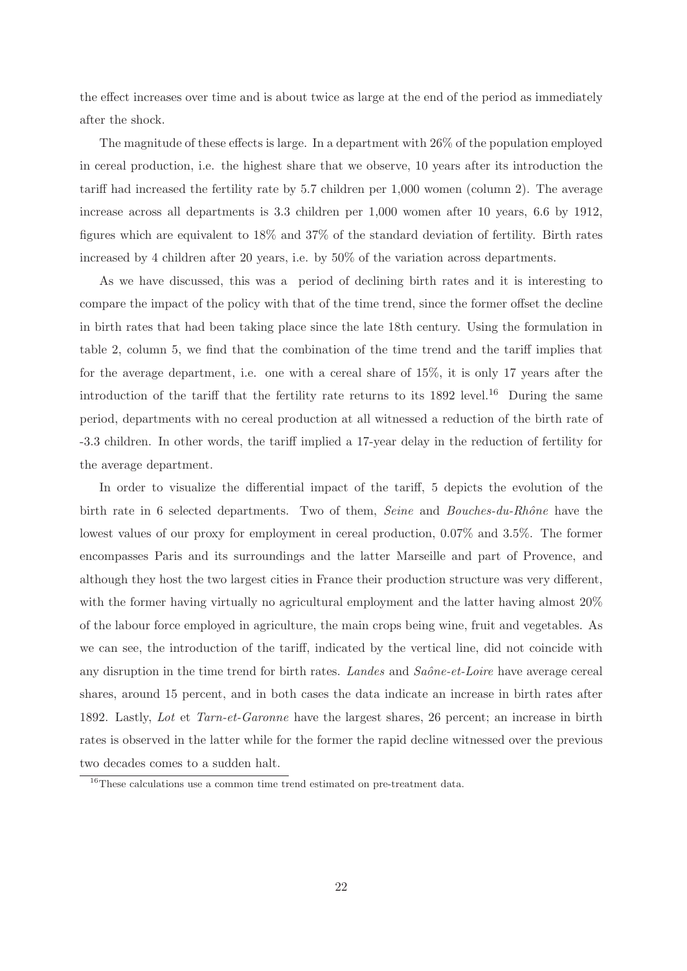the effect increases over time and is about twice as large at the end of the period as immediately after the shock.

The magnitude of these effects is large. In a department with 26% of the population employed in cereal production, i.e. the highest share that we observe, 10 years after its introduction the tariff had increased the fertility rate by 5.7 children per 1,000 women (column 2). The average increase across all departments is 3.3 children per 1,000 women after 10 years, 6.6 by 1912, figures which are equivalent to 18% and 37% of the standard deviation of fertility. Birth rates increased by 4 children after 20 years, i.e. by 50% of the variation across departments.

As we have discussed, this was a period of declining birth rates and it is interesting to compare the impact of the policy with that of the time trend, since the former offset the decline in birth rates that had been taking place since the late 18th century. Using the formulation in table 2, column 5, we find that the combination of the time trend and the tariff implies that for the average department, i.e. one with a cereal share of 15%, it is only 17 years after the introduction of the tariff that the fertility rate returns to its  $1892$  level.<sup>16</sup> During the same period, departments with no cereal production at all witnessed a reduction of the birth rate of -3.3 children. In other words, the tariff implied a 17-year delay in the reduction of fertility for the average department.

In order to visualize the differential impact of the tariff, 5 depicts the evolution of the birth rate in 6 selected departments. Two of them, Seine and Bouches-du-Rhône have the lowest values of our proxy for employment in cereal production, 0.07% and 3.5%. The former encompasses Paris and its surroundings and the latter Marseille and part of Provence, and although they host the two largest cities in France their production structure was very different, with the former having virtually no agricultural employment and the latter having almost  $20\%$ of the labour force employed in agriculture, the main crops being wine, fruit and vegetables. As we can see, the introduction of the tariff, indicated by the vertical line, did not coincide with any disruption in the time trend for birth rates. Landes and  $Sa\hat{o}ne-et-Loire$  have average cereal shares, around 15 percent, and in both cases the data indicate an increase in birth rates after 1892. Lastly, Lot et Tarn-et-Garonne have the largest shares, 26 percent; an increase in birth rates is observed in the latter while for the former the rapid decline witnessed over the previous two decades comes to a sudden halt.

<sup>&</sup>lt;sup>16</sup>These calculations use a common time trend estimated on pre-treatment data.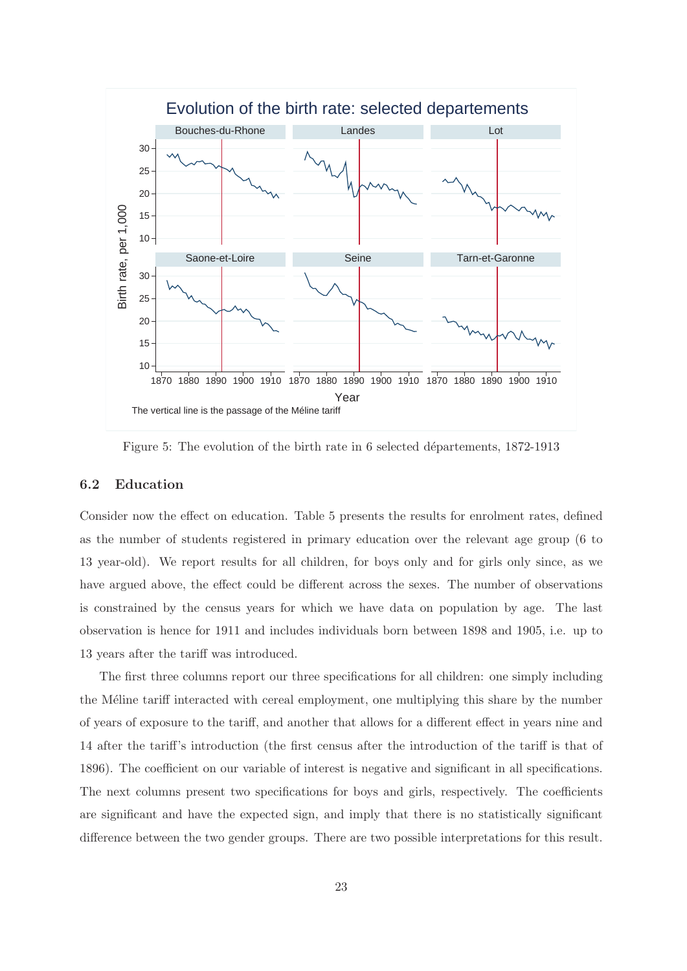

Figure 5: The evolution of the birth rate in 6 selected départements, 1872-1913

## **6.2 Education**

Consider now the effect on education. Table 5 presents the results for enrolment rates, defined as the number of students registered in primary education over the relevant age group (6 to 13 year-old). We report results for all children, for boys only and for girls only since, as we have argued above, the effect could be different across the sexes. The number of observations is constrained by the census years for which we have data on population by age. The last observation is hence for 1911 and includes individuals born between 1898 and 1905, i.e. up to 13 years after the tariff was introduced.

The first three columns report our three specifications for all children: one simply including the Méline tariff interacted with cereal employment, one multiplying this share by the number of years of exposure to the tariff, and another that allows for a different effect in years nine and 14 after the tariff's introduction (the first census after the introduction of the tariff is that of 1896). The coefficient on our variable of interest is negative and significant in all specifications. The next columns present two specifications for boys and girls, respectively. The coefficients are significant and have the expected sign, and imply that there is no statistically significant difference between the two gender groups. There are two possible interpretations for this result.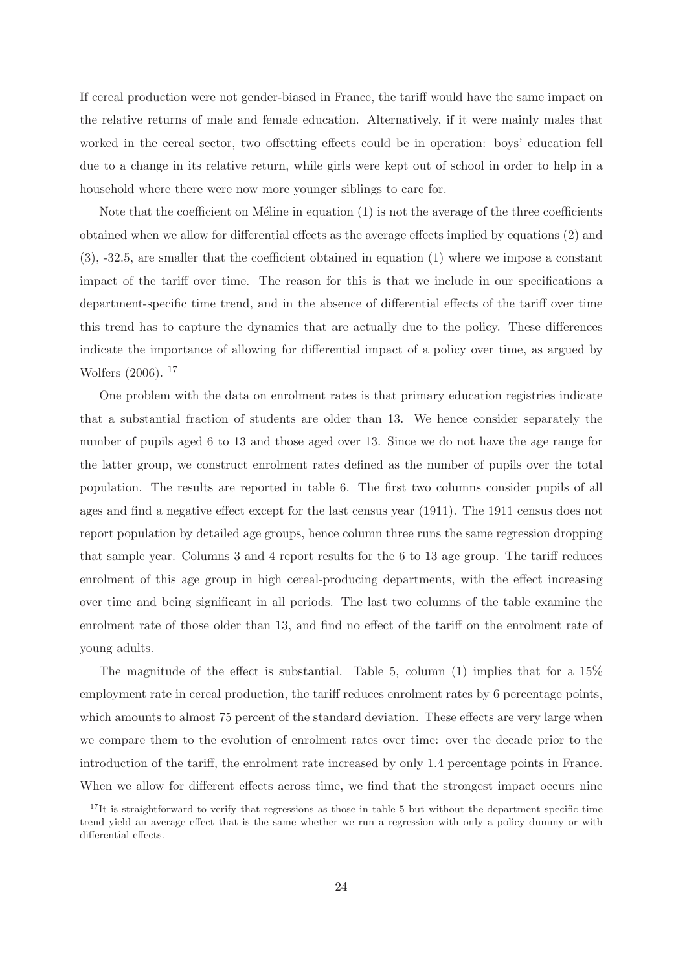If cereal production were not gender-biased in France, the tariff would have the same impact on the relative returns of male and female education. Alternatively, if it were mainly males that worked in the cereal sector, two offsetting effects could be in operation: boys' education fell due to a change in its relative return, while girls were kept out of school in order to help in a household where there were now more younger siblings to care for.

Note that the coefficient on Méline in equation  $(1)$  is not the average of the three coefficients obtained when we allow for differential effects as the average effects implied by equations (2) and (3), -32.5, are smaller that the coefficient obtained in equation (1) where we impose a constant impact of the tariff over time. The reason for this is that we include in our specifications a department-specific time trend, and in the absence of differential effects of the tariff over time this trend has to capture the dynamics that are actually due to the policy. These differences indicate the importance of allowing for differential impact of a policy over time, as argued by Wolfers (2006). <sup>17</sup>

One problem with the data on enrolment rates is that primary education registries indicate that a substantial fraction of students are older than 13. We hence consider separately the number of pupils aged 6 to 13 and those aged over 13. Since we do not have the age range for the latter group, we construct enrolment rates defined as the number of pupils over the total population. The results are reported in table 6. The first two columns consider pupils of all ages and find a negative effect except for the last census year (1911). The 1911 census does not report population by detailed age groups, hence column three runs the same regression dropping that sample year. Columns 3 and 4 report results for the 6 to 13 age group. The tariff reduces enrolment of this age group in high cereal-producing departments, with the effect increasing over time and being significant in all periods. The last two columns of the table examine the enrolment rate of those older than 13, and find no effect of the tariff on the enrolment rate of young adults.

The magnitude of the effect is substantial. Table 5, column (1) implies that for a 15% employment rate in cereal production, the tariff reduces enrolment rates by 6 percentage points, which amounts to almost 75 percent of the standard deviation. These effects are very large when we compare them to the evolution of enrolment rates over time: over the decade prior to the introduction of the tariff, the enrolment rate increased by only 1.4 percentage points in France. When we allow for different effects across time, we find that the strongest impact occurs nine

 $17$ It is straightforward to verify that regressions as those in table 5 but without the department specific time trend yield an average effect that is the same whether we run a regression with only a policy dummy or with differential effects.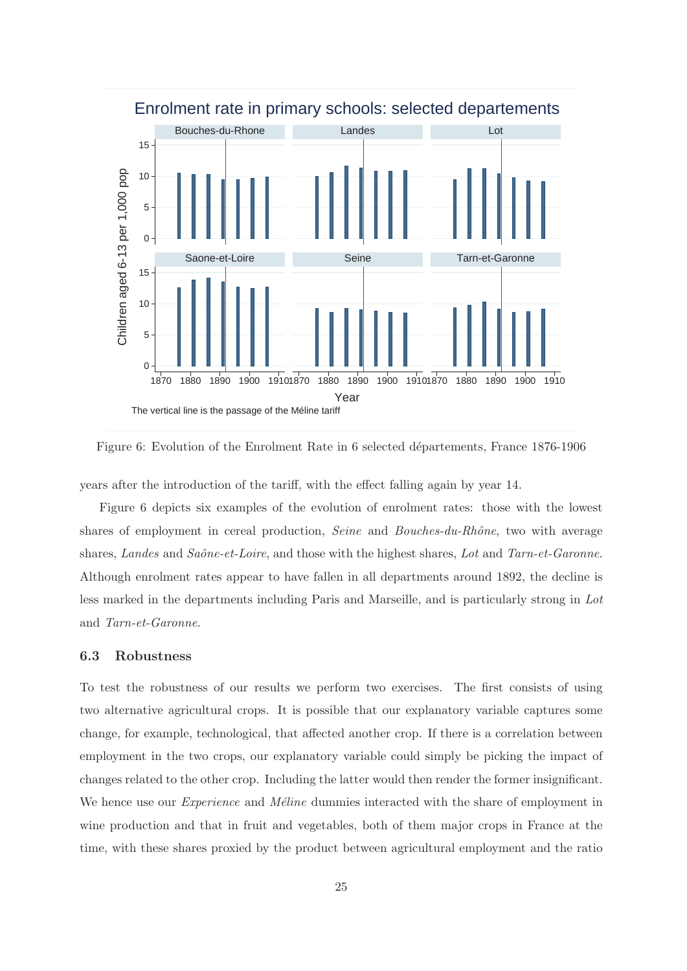

Figure 6: Evolution of the Enrolment Rate in 6 selected départements, France 1876-1906

years after the introduction of the tariff, with the effect falling again by year 14.

Figure 6 depicts six examples of the evolution of enrolment rates: those with the lowest shares of employment in cereal production, Seine and Bouches-du-Rhône, two with average shares, Landes and Saône-et-Loire, and those with the highest shares, Lot and Tarn-et-Garonne. Although enrolment rates appear to have fallen in all departments around 1892, the decline is less marked in the departments including Paris and Marseille, and is particularly strong in Lot and Tarn-et-Garonne.

#### **6.3 Robustness**

To test the robustness of our results we perform two exercises. The first consists of using two alternative agricultural crops. It is possible that our explanatory variable captures some change, for example, technological, that affected another crop. If there is a correlation between employment in the two crops, our explanatory variable could simply be picking the impact of changes related to the other crop. Including the latter would then render the former insignificant. We hence use our *Experience* and *Méline* dummies interacted with the share of employment in wine production and that in fruit and vegetables, both of them major crops in France at the time, with these shares proxied by the product between agricultural employment and the ratio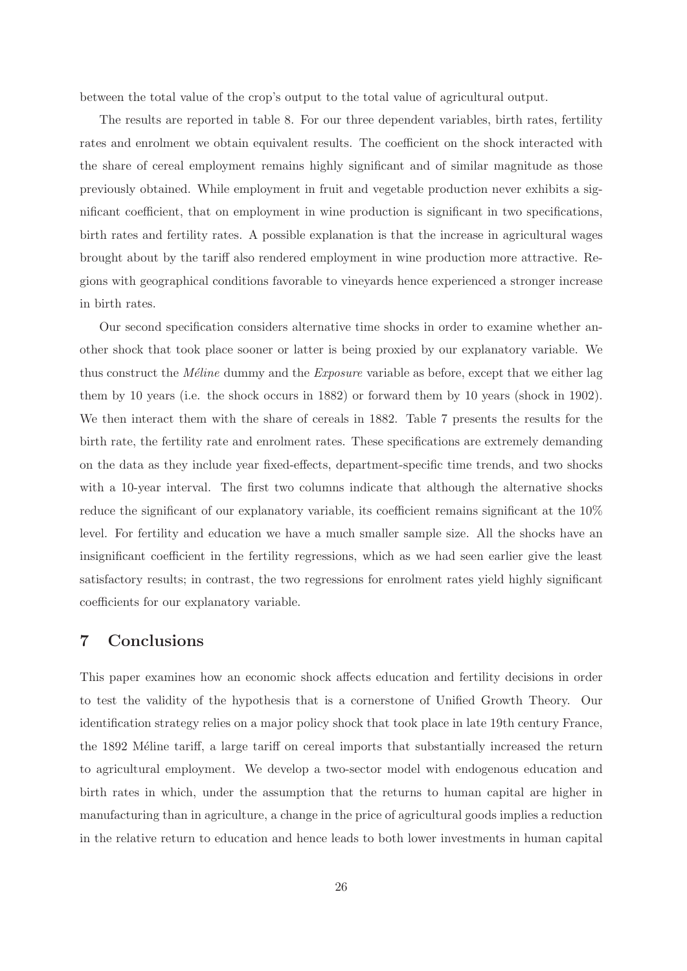between the total value of the crop's output to the total value of agricultural output.

The results are reported in table 8. For our three dependent variables, birth rates, fertility rates and enrolment we obtain equivalent results. The coefficient on the shock interacted with the share of cereal employment remains highly significant and of similar magnitude as those previously obtained. While employment in fruit and vegetable production never exhibits a significant coefficient, that on employment in wine production is significant in two specifications, birth rates and fertility rates. A possible explanation is that the increase in agricultural wages brought about by the tariff also rendered employment in wine production more attractive. Regions with geographical conditions favorable to vineyards hence experienced a stronger increase in birth rates.

Our second specification considers alternative time shocks in order to examine whether another shock that took place sooner or latter is being proxied by our explanatory variable. We thus construct the *M*<sup>eline</sup> dummy and the *Exposure* variable as before, except that we either lag them by 10 years (i.e. the shock occurs in 1882) or forward them by 10 years (shock in 1902). We then interact them with the share of cereals in 1882. Table 7 presents the results for the birth rate, the fertility rate and enrolment rates. These specifications are extremely demanding on the data as they include year fixed-effects, department-specific time trends, and two shocks with a 10-year interval. The first two columns indicate that although the alternative shocks reduce the significant of our explanatory variable, its coefficient remains significant at the 10% level. For fertility and education we have a much smaller sample size. All the shocks have an insignificant coefficient in the fertility regressions, which as we had seen earlier give the least satisfactory results; in contrast, the two regressions for enrolment rates yield highly significant coefficients for our explanatory variable.

## **7 Conclusions**

This paper examines how an economic shock affects education and fertility decisions in order to test the validity of the hypothesis that is a cornerstone of Unified Growth Theory. Our identification strategy relies on a major policy shock that took place in late 19th century France, the 1892 Méline tariff, a large tariff on cereal imports that substantially increased the return to agricultural employment. We develop a two-sector model with endogenous education and birth rates in which, under the assumption that the returns to human capital are higher in manufacturing than in agriculture, a change in the price of agricultural goods implies a reduction in the relative return to education and hence leads to both lower investments in human capital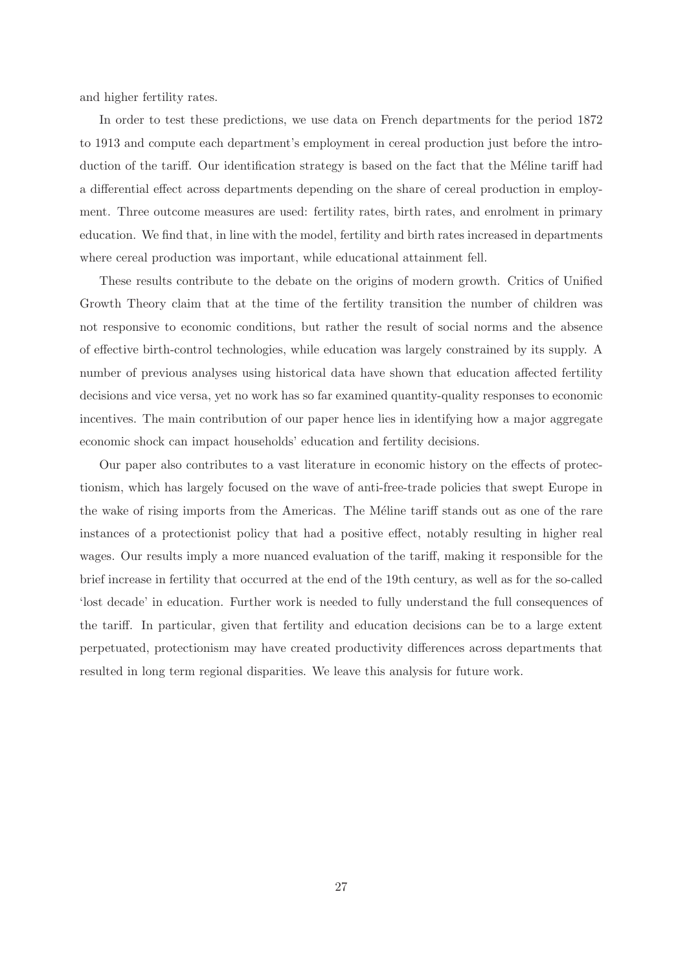and higher fertility rates.

In order to test these predictions, we use data on French departments for the period 1872 to 1913 and compute each department's employment in cereal production just before the introduction of the tariff. Our identification strategy is based on the fact that the Méline tariff had a differential effect across departments depending on the share of cereal production in employment. Three outcome measures are used: fertility rates, birth rates, and enrolment in primary education. We find that, in line with the model, fertility and birth rates increased in departments where cereal production was important, while educational attainment fell.

These results contribute to the debate on the origins of modern growth. Critics of Unified Growth Theory claim that at the time of the fertility transition the number of children was not responsive to economic conditions, but rather the result of social norms and the absence of effective birth-control technologies, while education was largely constrained by its supply. A number of previous analyses using historical data have shown that education affected fertility decisions and vice versa, yet no work has so far examined quantity-quality responses to economic incentives. The main contribution of our paper hence lies in identifying how a major aggregate economic shock can impact households' education and fertility decisions.

Our paper also contributes to a vast literature in economic history on the effects of protectionism, which has largely focused on the wave of anti-free-trade policies that swept Europe in the wake of rising imports from the Americas. The Méline tariff stands out as one of the rare instances of a protectionist policy that had a positive effect, notably resulting in higher real wages. Our results imply a more nuanced evaluation of the tariff, making it responsible for the brief increase in fertility that occurred at the end of the 19th century, as well as for the so-called 'lost decade' in education. Further work is needed to fully understand the full consequences of the tariff. In particular, given that fertility and education decisions can be to a large extent perpetuated, protectionism may have created productivity differences across departments that resulted in long term regional disparities. We leave this analysis for future work.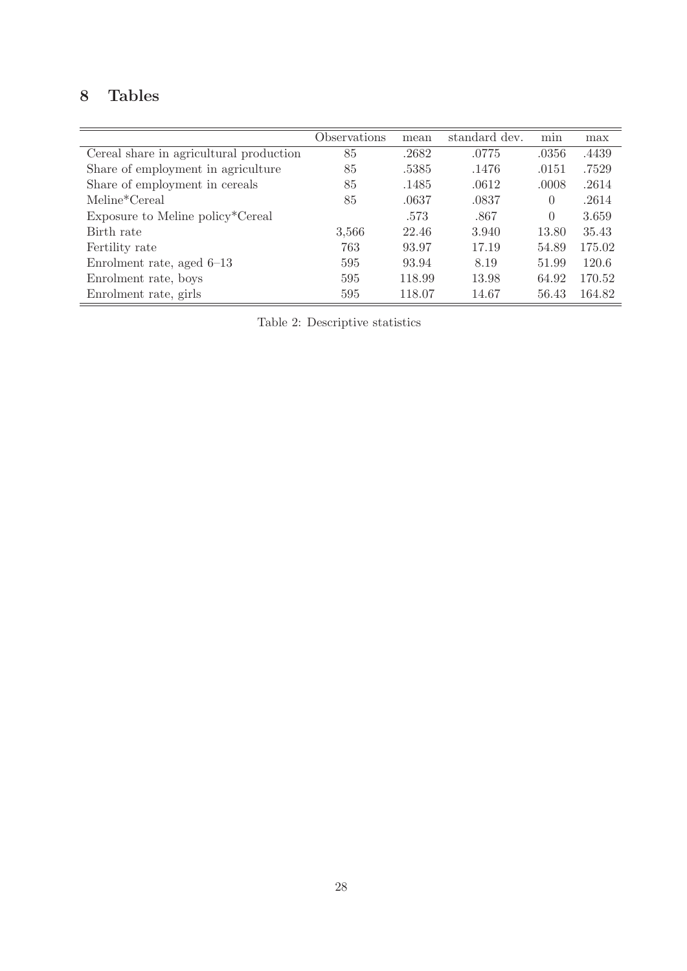## **8 Tables**

|                                         | Observations | mean   | standard dev. | min      | max    |
|-----------------------------------------|--------------|--------|---------------|----------|--------|
| Cereal share in agricultural production | 85           | .2682  | .0775         | .0356    | .4439  |
| Share of employment in agriculture      | 85           | .5385  | .1476         | .0151    | .7529  |
| Share of employment in cereals          | 85           | .1485  | .0612         | .0008    | .2614  |
| Meline*Cereal                           | 85           | .0637  | .0837         | 0        | .2614  |
| Exposure to Meline policy*Cereal        |              | .573   | .867          | $\theta$ | 3.659  |
| Birth rate                              | 3,566        | 22.46  | 3.940         | 13.80    | 35.43  |
| Fertility rate                          | 763          | 93.97  | 17.19         | 54.89    | 175.02 |
| Enrolment rate, aged $6-13$             | 595          | 93.94  | 8.19          | 51.99    | 120.6  |
| Enrolment rate, boys                    | 595          | 118.99 | 13.98         | 64.92    | 170.52 |
| Enrolment rate, girls                   | 595          | 118.07 | 14.67         | 56.43    | 164.82 |

Table 2: Descriptive statistics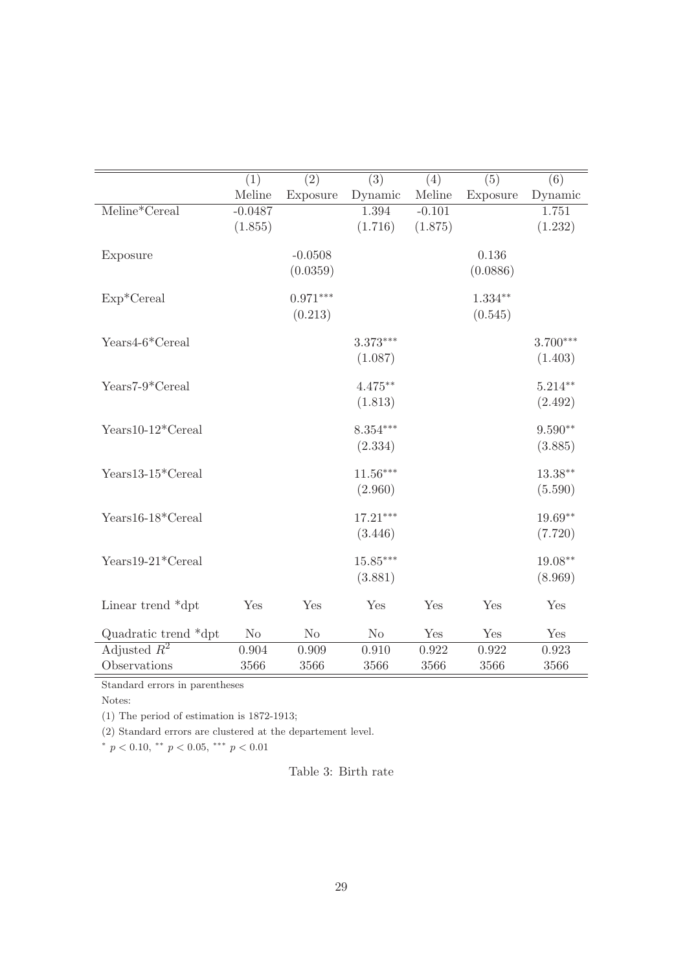|                      | (1)            | $\overline{(2)}$ | $\overline{(3)}$ | (4)      | $\overline{(5)}$ | $\overline{(6)}$ |
|----------------------|----------------|------------------|------------------|----------|------------------|------------------|
|                      | Meline         | Exposure         | Dynamic          | Meline   | Exposure         | Dynamic          |
| Meline*Cereal        | $-0.0487$      |                  | 1.394            | $-0.101$ |                  | 1.751            |
|                      | (1.855)        |                  | (1.716)          | (1.875)  |                  | (1.232)          |
|                      |                |                  |                  |          |                  |                  |
| Exposure             |                | $-0.0508$        |                  |          | 0.136            |                  |
|                      |                | (0.0359)         |                  |          | (0.0886)         |                  |
|                      |                |                  |                  |          |                  |                  |
| $Exp*Cereal$         |                | $0.971***$       |                  |          | $1.334**$        |                  |
|                      |                | (0.213)          |                  |          | (0.545)          |                  |
|                      |                |                  |                  |          |                  |                  |
| Years4-6*Cereal      |                |                  | $3.373***$       |          |                  | $3.700***$       |
|                      |                |                  | (1.087)          |          |                  | (1.403)          |
| Years7-9*Cereal      |                |                  | $4.475**$        |          |                  | $5.214**$        |
|                      |                |                  | (1.813)          |          |                  | (2.492)          |
|                      |                |                  |                  |          |                  |                  |
| Years10-12*Cereal    |                |                  | $8.354***$       |          |                  | $9.590**$        |
|                      |                |                  | (2.334)          |          |                  | (3.885)          |
|                      |                |                  |                  |          |                  |                  |
| Years13-15*Cereal    |                |                  | $11.56***$       |          |                  | $13.38***$       |
|                      |                |                  | (2.960)          |          |                  | (5.590)          |
|                      |                |                  |                  |          |                  |                  |
| Years16-18*Cereal    |                |                  | $17.21***$       |          |                  | $19.69**$        |
|                      |                |                  | (3.446)          |          |                  | (7.720)          |
|                      |                |                  |                  |          |                  |                  |
| Years19-21*Cereal    |                |                  | $15.85***$       |          |                  | $19.08**$        |
|                      |                |                  | (3.881)          |          |                  | (8.969)          |
|                      |                |                  |                  |          |                  |                  |
| Linear trend *dpt    | Yes            | Yes              | Yes              | Yes      | Yes              | Yes              |
| Quadratic trend *dpt | N <sub>o</sub> | No               | No               | Yes      | Yes              | Yes              |
| Adjusted $R^2$       | 0.904          | 0.909            | 0.910            | 0.922    | 0.922            | 0.923            |
| Observations         | 3566           | 3566             | 3566             | 3566     | 3566             | 3566             |

Standard errors in parentheses

Notes:

(1) The period of estimation is 1872-1913;

(2) Standard errors are clustered at the departement level.

\*  $p < 0.10$ , \*\*  $p < 0.05$ , \*\*\*  $p < 0.01$ 

Table 3: Birth rate

 $\equiv$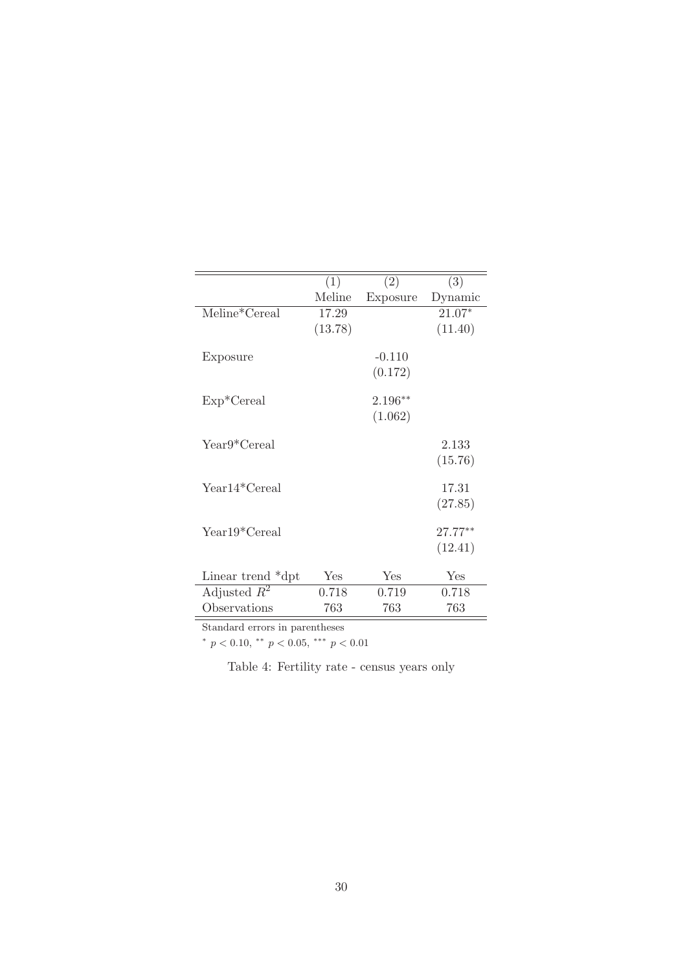|                                    | (1)     | (2)       | (3)       |
|------------------------------------|---------|-----------|-----------|
|                                    | Meline  | Exposure  | Dynamic   |
| $\overline{\text{M}}$ eline*Cereal | 17.29   |           | $21.07*$  |
|                                    | (13.78) |           | (11.40)   |
|                                    |         |           |           |
| Exposure                           |         | $-0.110$  |           |
|                                    |         | (0.172)   |           |
|                                    |         |           |           |
| $Exp*Cereal$                       |         | $2.196**$ |           |
|                                    |         | (1.062)   |           |
| Year9*Cereal                       |         |           | 2.133     |
|                                    |         |           | (15.76)   |
|                                    |         |           |           |
| Year14*Cereal                      |         |           | 17.31     |
|                                    |         |           | (27.85)   |
|                                    |         |           |           |
| Year19*Cereal                      |         |           | $27.77**$ |
|                                    |         |           | (12.41)   |
|                                    |         |           |           |
| Linear trend *dpt                  | Yes     | Yes       | Yes       |
| Adjusted $R^2$                     | 0.718   | 0.719     | 0.718     |
| Observations                       | 763     | 763       | 763       |

Standard errors in parentheses

\*  $p < 0.10,$  \*\*  $p < 0.05,$  \*\*\*  $p < 0.01$ 

Table 4: Fertility rate - census years only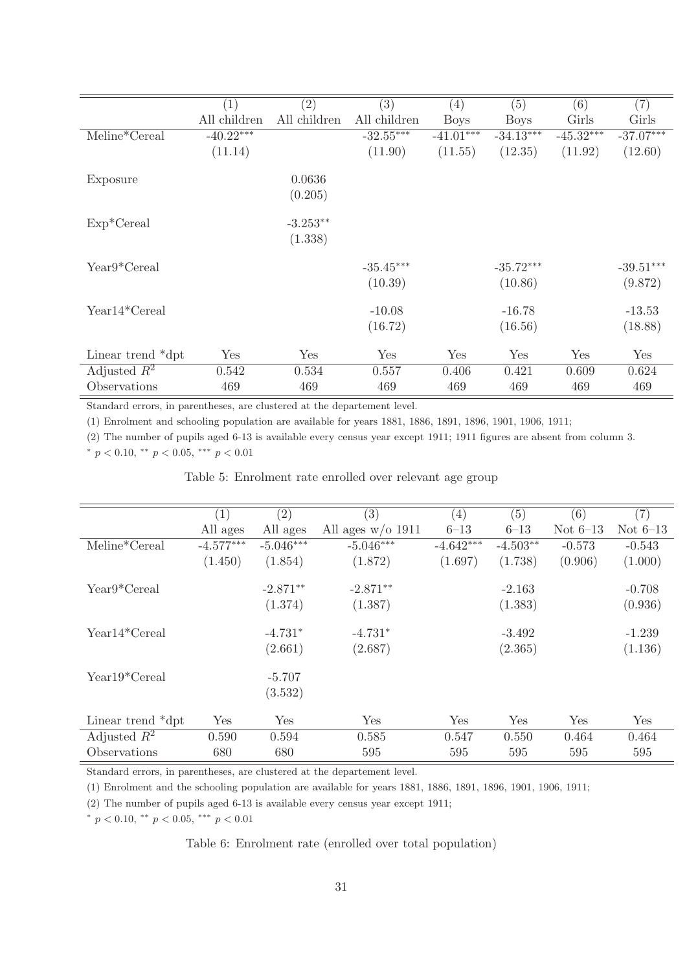|                   | (1)          | (2)          | (3)          | (4)         | (5)         | (6)         | (7)         |
|-------------------|--------------|--------------|--------------|-------------|-------------|-------------|-------------|
|                   | All children | All children | All children | <b>Boys</b> | <b>Boys</b> | Girls       | Girls       |
| Meline*Cereal     | $-40.22***$  |              | $-32.55***$  | $-41.01***$ | $-34.13***$ | $-45.32***$ | $-37.07***$ |
|                   | (11.14)      |              | (11.90)      | (11.55)     | (12.35)     | (11.92)     | (12.60)     |
| Exposure          |              | 0.0636       |              |             |             |             |             |
|                   |              | (0.205)      |              |             |             |             |             |
| $Exp*Cereal$      |              | $-3.253**$   |              |             |             |             |             |
|                   |              | (1.338)      |              |             |             |             |             |
| Year9*Cereal      |              |              | $-35.45***$  |             | $-35.72***$ |             | $-39.51***$ |
|                   |              |              | (10.39)      |             | (10.86)     |             | (9.872)     |
| Year14*Cereal     |              |              | $-10.08$     |             | $-16.78$    |             | $-13.53$    |
|                   |              |              | (16.72)      |             | (16.56)     |             | (18.88)     |
| Linear trend *dpt | Yes          | Yes          | Yes          | Yes         | Yes         | Yes         | Yes         |
| Adjusted $R^2$    | 0.542        | 0.534        | 0.557        | 0.406       | 0.421       | 0.609       | 0.624       |
| Observations      | 469          | 469          | 469          | 469         | 469         | 469         | 469         |

Standard errors, in parentheses, are clustered at the departement level.

(1) Enrolment and schooling population are available for years 1881, 1886, 1891, 1896, 1901, 1906, 1911;

(2) The number of pupils aged 6-13 is available every census year except 1911; 1911 figures are absent from column 3.

\*  $p < 0.10$ , \*\*  $p < 0.05$ , \*\*\*  $p < 0.01$ 

Table 5: Enrolment rate enrolled over relevant age group

|                   | (1)         | (2)         | (3)                 | (4)         | (5)        | (6)        | (7)        |
|-------------------|-------------|-------------|---------------------|-------------|------------|------------|------------|
|                   | All ages    | All ages    | All ages $w/o$ 1911 | $6 - 13$    | $6 - 13$   | Not $6-13$ | Not $6-13$ |
| Meline*Cereal     | $-4.577***$ | $-5.046***$ | $-5.046***$         | $-4.642***$ | $-4.503**$ | $-0.573$   | $-0.543$   |
|                   | (1.450)     | (1.854)     | (1.872)             | (1.697)     | (1.738)    | (0.906)    | (1.000)    |
| Year9*Cereal      |             | $-2.871**$  | $-2.871**$          |             | $-2.163$   |            | $-0.708$   |
|                   |             | (1.374)     | (1.387)             |             | (1.383)    |            | (0.936)    |
| Year14*Cereal     |             | $-4.731*$   | $-4.731*$           |             | $-3.492$   |            | $-1.239$   |
|                   |             | (2.661)     | (2.687)             |             | (2.365)    |            | (1.136)    |
| Year19*Cereal     |             | $-5.707$    |                     |             |            |            |            |
|                   |             | (3.532)     |                     |             |            |            |            |
| Linear trend *dpt | Yes         | Yes         | Yes                 | Yes         | Yes        | Yes        | Yes        |
| Adjusted $R^2$    | 0.590       | 0.594       | 0.585               | 0.547       | 0.550      | 0.464      | 0.464      |
| Observations      | 680         | 680         | 595                 | 595         | 595        | 595        | 595        |

Standard errors, in parentheses, are clustered at the departement level.

(1) Enrolment and the schooling population are available for years 1881, 1886, 1891, 1896, 1901, 1906, 1911;

(2) The number of pupils aged 6-13 is available every census year except 1911;

 $*$  p < 0.10, \*\* p < 0.05, \*\*\* p < 0.01

Table 6: Enrolment rate (enrolled over total population)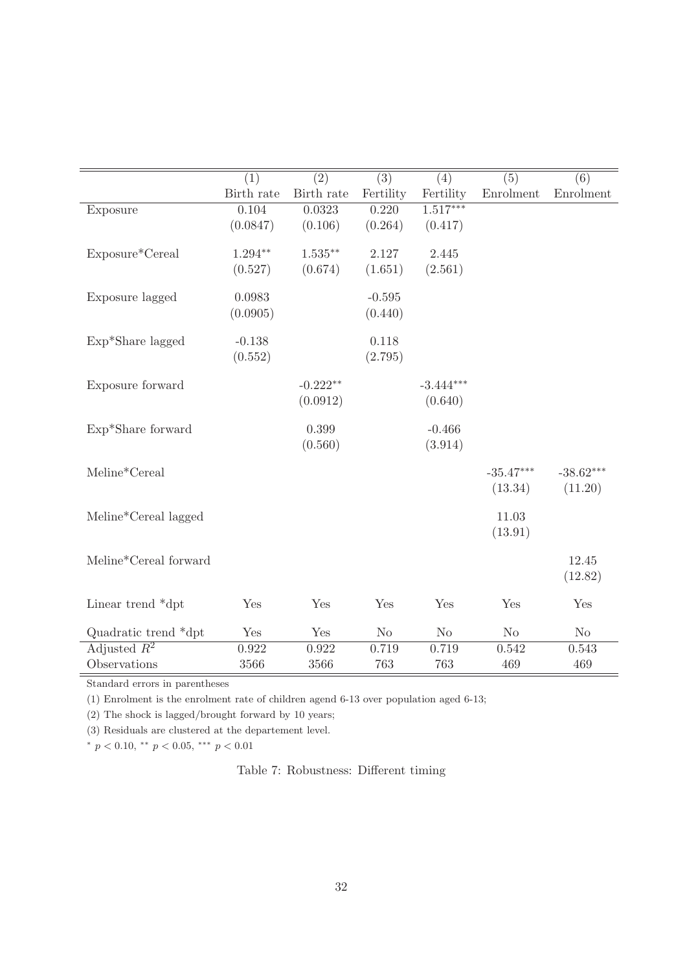|                       | $\overline{(1)}$ | $\overline{(2)}$ | $\overline{(3)}$ | $\overline{(4)}$ | $\overline{(5)}$ | $\overline{(6)}$ |
|-----------------------|------------------|------------------|------------------|------------------|------------------|------------------|
|                       | Birth rate       | Birth rate       | Fertility        | Fertility        | Enrolment        | Enrolment        |
| Exposure              | 0.104            | 0.0323           | 0.220            | $1.517***$       |                  |                  |
|                       | (0.0847)         | (0.106)          | (0.264)          | (0.417)          |                  |                  |
|                       |                  |                  |                  |                  |                  |                  |
| Exposure*Cereal       | $1.294**$        | $1.535***$       | 2.127            | 2.445            |                  |                  |
|                       | (0.527)          | (0.674)          | (1.651)          | (2.561)          |                  |                  |
| Exposure lagged       | 0.0983           |                  | $-0.595$         |                  |                  |                  |
|                       | (0.0905)         |                  | (0.440)          |                  |                  |                  |
|                       |                  |                  |                  |                  |                  |                  |
| Exp*Share lagged      | $-0.138$         |                  | 0.118            |                  |                  |                  |
|                       | (0.552)          |                  | (2.795)          |                  |                  |                  |
|                       |                  |                  |                  |                  |                  |                  |
| Exposure forward      |                  | $-0.222**$       |                  | $-3.444***$      |                  |                  |
|                       |                  | (0.0912)         |                  | (0.640)          |                  |                  |
|                       |                  |                  |                  |                  |                  |                  |
| Exp*Share forward     |                  | 0.399            |                  | $-0.466$         |                  |                  |
|                       |                  | (0.560)          |                  | (3.914)          |                  |                  |
| Meline*Cereal         |                  |                  |                  |                  | $-35.47***$      | $-38.62***$      |
|                       |                  |                  |                  |                  | (13.34)          | (11.20)          |
|                       |                  |                  |                  |                  |                  |                  |
| Meline*Cereal lagged  |                  |                  |                  |                  | 11.03            |                  |
|                       |                  |                  |                  |                  | (13.91)          |                  |
|                       |                  |                  |                  |                  |                  |                  |
| Meline*Cereal forward |                  |                  |                  |                  |                  | 12.45            |
|                       |                  |                  |                  |                  |                  | (12.82)          |
|                       |                  |                  |                  |                  |                  |                  |
| Linear trend *dpt     | Yes              | Yes              | Yes              | Yes              | Yes              | Yes              |
| Quadratic trend *dpt  | Yes              | Yes              | N <sub>o</sub>   | $\rm No$         | N <sub>o</sub>   | No               |
| Adjusted $R^2$        | 0.922            | 0.922            | 0.719            | 0.719            | 0.542            | 0.543            |
| Observations          | 3566             | 3566             | 763              | 763              | 469              | 469              |

Standard errors in parentheses

(1) Enrolment is the enrolment rate of children agend 6-13 over population aged 6-13;

(2) The shock is lagged/brought forward by 10 years;

(3) Residuals are clustered at the departement level.

 $*$   $p$   $<$   $0.10,$   $^{**}$   $p$   $<$   $0.05,$   $^{***}$   $p$   $<$   $0.01$ 

Table 7: Robustness: Different timing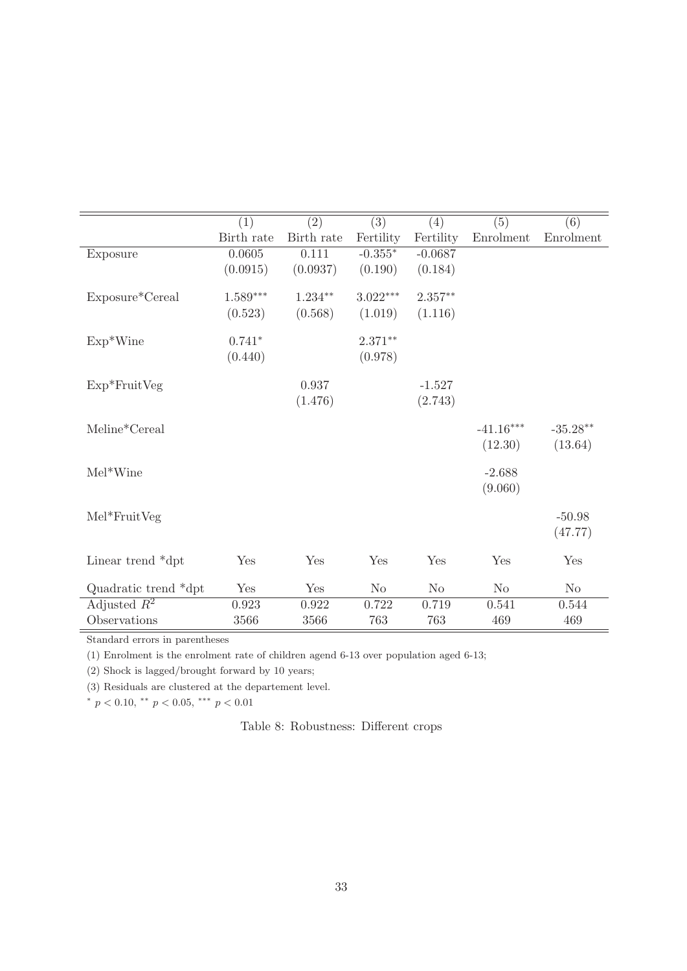|                      | (1)             | (2)        | $\overline{(3)}$ | (4)       | (5)         | (6)        |
|----------------------|-----------------|------------|------------------|-----------|-------------|------------|
|                      | Birth rate      | Birth rate | Fertility        | Fertility | Enrolment   | Enrolment  |
| Exposure             | 0.0605          | 0.111      | $-0.355*$        | $-0.0687$ |             |            |
|                      | (0.0915)        | (0.0937)   | (0.190)          | (0.184)   |             |            |
|                      |                 |            | $3.022***$       |           |             |            |
| Exposure*Cereal      | $1.589^{***}\,$ | $1.234**$  |                  | $2.357**$ |             |            |
|                      | (0.523)         | (0.568)    | (1.019)          | (1.116)   |             |            |
| $Exp*Wine$           | $0.741*$        |            | $2.371**$        |           |             |            |
|                      | (0.440)         |            | (0.978)          |           |             |            |
|                      |                 |            |                  |           |             |            |
| $Exp*FruitVeg$       |                 | 0.937      |                  | $-1.527$  |             |            |
|                      |                 | (1.476)    |                  | (2.743)   |             |            |
| Meline*Cereal        |                 |            |                  |           | $-41.16***$ | $-35.28**$ |
|                      |                 |            |                  |           | (12.30)     | (13.64)    |
|                      |                 |            |                  |           |             |            |
| $Mel*Wine$           |                 |            |                  |           | $-2.688$    |            |
|                      |                 |            |                  |           | (9.060)     |            |
|                      |                 |            |                  |           |             |            |
| $Mel*FruitVeg$       |                 |            |                  |           |             | $-50.98$   |
|                      |                 |            |                  |           |             | (47.77)    |
| Linear trend *dpt    | Yes             | Yes        | Yes              | Yes       | Yes         | Yes        |
|                      |                 |            |                  |           |             |            |
| Quadratic trend *dpt | Yes             | Yes        | N <sub>o</sub>   | No        | No          | No         |
| Adjusted $R^2$       | 0.923           | 0.922      | 0.722            | 0.719     | 0.541       | 0.544      |
| Observations         | 3566            | 3566       | 763              | 763       | 469         | 469        |

Standard errors in parentheses

(1) Enrolment is the enrolment rate of children agend 6-13 over population aged 6-13;

(2) Shock is lagged/brought forward by 10 years;

(3) Residuals are clustered at the departement level.

\*  $p < 0.10$ , \*\*  $p < 0.05$ , \*\*\*  $p < 0.01$ 

Table 8: Robustness: Different crops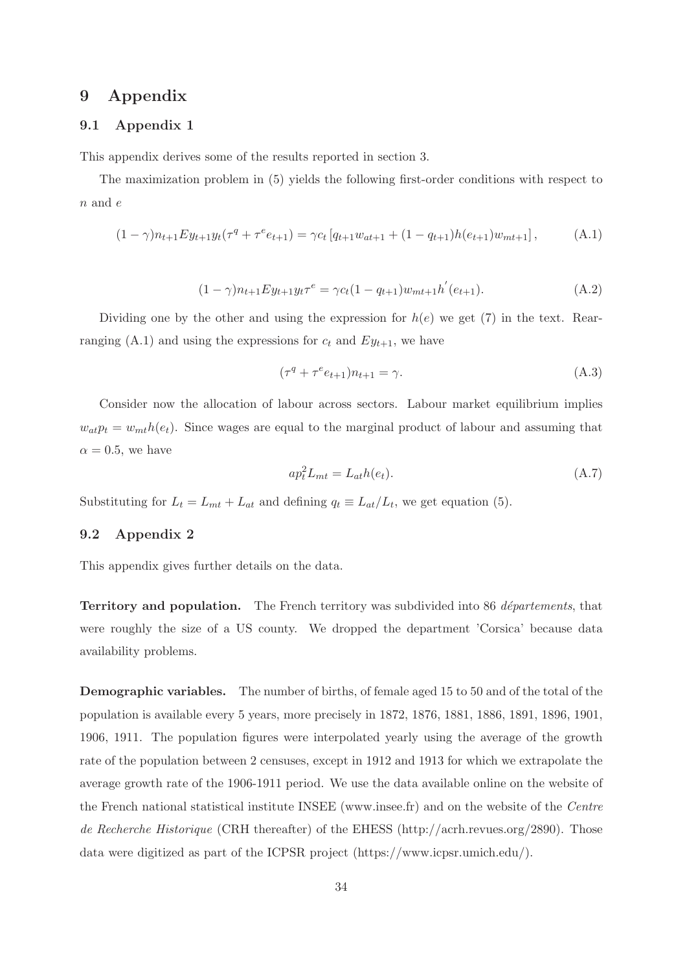## **9 Appendix**

## **9.1 Appendix 1**

This appendix derives some of the results reported in section 3.

The maximization problem in (5) yields the following first-order conditions with respect to  $n$  and  $e$ 

$$
(1 - \gamma)n_{t+1}Ey_{t+1}y_t(\tau^q + \tau^e e_{t+1}) = \gamma c_t \left[q_{t+1}w_{at+1} + (1 - q_{t+1})h(e_{t+1})w_{mt+1}\right],\tag{A.1}
$$

$$
(1 - \gamma)n_{t+1}Ey_{t+1}y_t\tau^e = \gamma c_t(1 - q_{t+1})w_{mt+1}h'(e_{t+1}).
$$
\n(A.2)

Dividing one by the other and using the expression for  $h(e)$  we get (7) in the text. Rearranging (A.1) and using the expressions for  $c_t$  and  $Ey_{t+1}$ , we have

$$
(\tau^q + \tau^e e_{t+1})n_{t+1} = \gamma.
$$
\n(A.3)

Consider now the allocation of labour across sectors. Labour market equilibrium implies  $w_{at}p_t = w_{mt}h(e_t)$ . Since wages are equal to the marginal product of labour and assuming that  $\alpha = 0.5$ , we have

$$
ap_t^2 L_{mt} = L_{at}h(e_t). \tag{A.7}
$$

Substituting for  $L_t = L_{mt} + L_{at}$  and defining  $q_t \equiv L_{at}/L_t$ , we get equation (5).

#### **9.2 Appendix 2**

This appendix gives further details on the data.

**Territory and population.** The French territory was subdivided into 86 *départements*, that were roughly the size of a US county. We dropped the department 'Corsica' because data availability problems.

**Demographic variables.** The number of births, of female aged 15 to 50 and of the total of the population is available every 5 years, more precisely in 1872, 1876, 1881, 1886, 1891, 1896, 1901, 1906, 1911. The population figures were interpolated yearly using the average of the growth rate of the population between 2 censuses, except in 1912 and 1913 for which we extrapolate the average growth rate of the 1906-1911 period. We use the data available online on the website of the French national statistical institute INSEE (www.insee.fr) and on the website of the Centre de Recherche Historique (CRH thereafter) of the EHESS (http://acrh.revues.org/2890). Those data were digitized as part of the ICPSR project (https://www.icpsr.umich.edu/).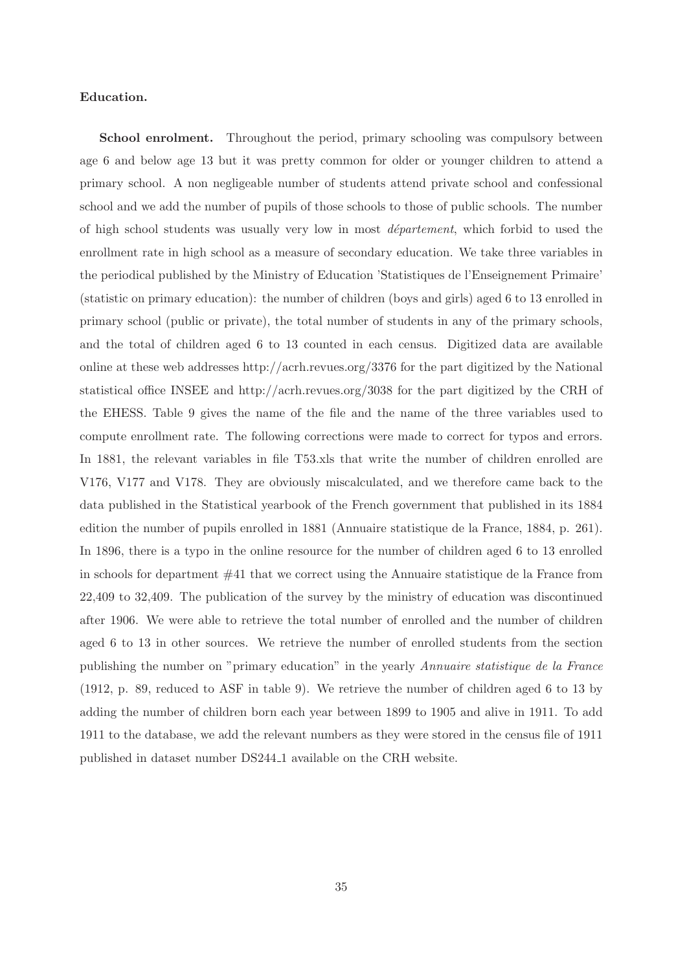#### **Education.**

**School enrolment.** Throughout the period, primary schooling was compulsory between age 6 and below age 13 but it was pretty common for older or younger children to attend a primary school. A non negligeable number of students attend private school and confessional school and we add the number of pupils of those schools to those of public schools. The number of high school students was usually very low in most *département*, which forbid to used the enrollment rate in high school as a measure of secondary education. We take three variables in the periodical published by the Ministry of Education 'Statistiques de l'Enseignement Primaire' (statistic on primary education): the number of children (boys and girls) aged 6 to 13 enrolled in primary school (public or private), the total number of students in any of the primary schools, and the total of children aged 6 to 13 counted in each census. Digitized data are available online at these web addresses http://acrh.revues.org/3376 for the part digitized by the National statistical office INSEE and http://acrh.revues.org/3038 for the part digitized by the CRH of the EHESS. Table 9 gives the name of the file and the name of the three variables used to compute enrollment rate. The following corrections were made to correct for typos and errors. In 1881, the relevant variables in file T53.xls that write the number of children enrolled are V176, V177 and V178. They are obviously miscalculated, and we therefore came back to the data published in the Statistical yearbook of the French government that published in its 1884 edition the number of pupils enrolled in 1881 (Annuaire statistique de la France, 1884, p. 261). In 1896, there is a typo in the online resource for the number of children aged 6 to 13 enrolled in schools for department #41 that we correct using the Annuaire statistique de la France from 22,409 to 32,409. The publication of the survey by the ministry of education was discontinued after 1906. We were able to retrieve the total number of enrolled and the number of children aged 6 to 13 in other sources. We retrieve the number of enrolled students from the section publishing the number on "primary education" in the yearly Annuaire statistique de la France (1912, p. 89, reduced to ASF in table 9). We retrieve the number of children aged 6 to 13 by adding the number of children born each year between 1899 to 1905 and alive in 1911. To add 1911 to the database, we add the relevant numbers as they were stored in the census file of 1911 published in dataset number DS244 1 available on the CRH website.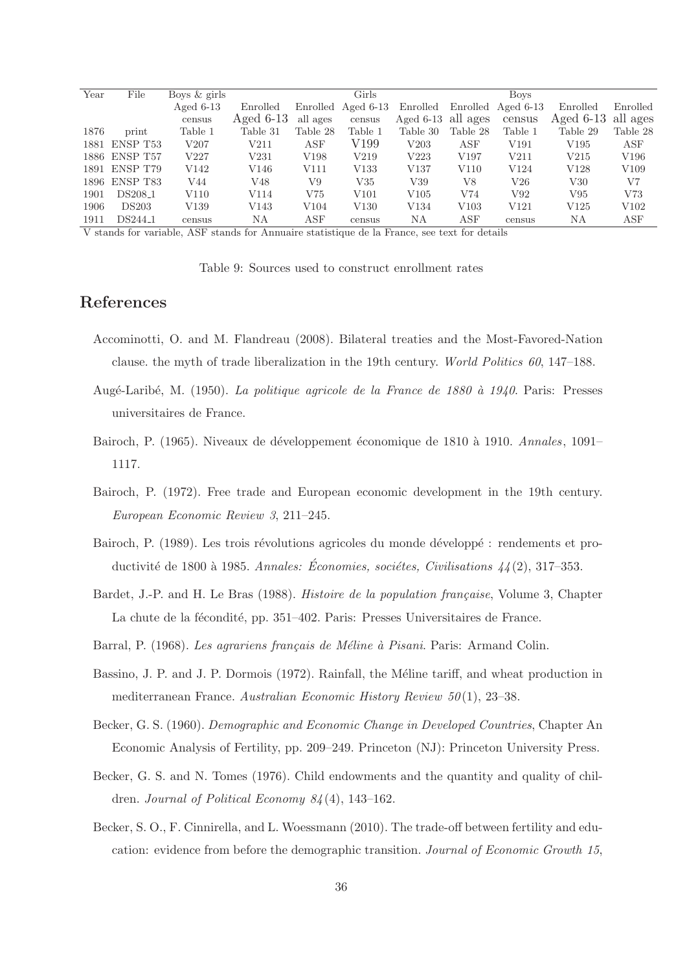| Year | File                | Boys & girls |             |           | Girls              |                      |                  | <b>Boys</b>        |                      |          |
|------|---------------------|--------------|-------------|-----------|--------------------|----------------------|------------------|--------------------|----------------------|----------|
|      |                     | Aged $6-13$  | Enrolled    |           | Enrolled Aged 6-13 | Enrolled             |                  | Enrolled Aged 6-13 | Enrolled             | Enrolled |
|      |                     | census       | Aged $6-13$ | all ages  | census             | Aged $6-13$ all ages |                  | census             | Aged $6-13$ all ages |          |
| 1876 | print               | Table 1      | Table 31    | Table 28  | Table 1            | Table 30             | Table 28         | Table 1            | Table 29             | Table 28 |
| 1881 | ENSP T53            | V207         | V211        | ASF       | V199               | $\rm V203$           | ASF              | V191               | V195                 | ASF      |
|      | 1886 ENSP T57       | V227         | V231        | V198      | V219               | $\rm V223$           | V197             | V211               | V215                 | V196     |
|      | 1891 ENSP T79       | V142         | V146        | V111      | V133               | V137                 | V110             | V124               | V128                 | V109     |
|      | 1896 ENSP T83       | V44          | V48         | V9        | $_{\rm V35}$       | V39                  | V8               | V26                | V30                  | V7       |
| 1901 | DS208 <sub>-1</sub> | V110         | V114        | V75       | V101               | V105                 | V74              | V92                | V95                  | V73      |
| 1906 | <b>DS203</b>        | V139         | V143        | V104      | V130               | V134                 | V <sub>103</sub> | V <sub>121</sub>   | V125                 | V102     |
| 1911 | DS244 <sub>-1</sub> | census       | ΝA          | $\tt ASF$ | census             | ΝA                   | $\tt ASF$        | census             | ΝA                   | ASF      |

V stands for variable, ASF stands for Annuaire statistique de la France, see text for details

Table 9: Sources used to construct enrollment rates

## **References**

- Accominotti, O. and M. Flandreau (2008). Bilateral treaties and the Most-Favored-Nation clause. the myth of trade liberalization in the 19th century. World Politics 60, 147–188.
- Augé-Laribé, M. (1950). La politique agricole de la France de 1880 à 1940. Paris: Presses universitaires de France.
- Bairoch, P. (1965). Niveaux de développement économique de 1810 à 1910. Annales, 1091– 1117.
- Bairoch, P. (1972). Free trade and European economic development in the 19th century. European Economic Review 3, 211–245.
- Bairoch, P. (1989). Les trois révolutions agricoles du monde développé : rendements et productivité de 1800 à 1985. Annales: Économies, sociétes, Civilisations  $\frac{1}{4} (2)$ , 317–353.
- Bardet, J.-P. and H. Le Bras (1988). *Histoire de la population française*, Volume 3, Chapter La chute de la fécondité, pp. 351–402. Paris: Presses Universitaires de France.
- Barral, P. (1968). Les agrariens français de Méline à Pisani. Paris: Armand Colin.
- Bassino, J. P. and J. P. Dormois (1972). Rainfall, the Méline tariff, and wheat production in mediterranean France. Australian Economic History Review  $50(1)$ , 23-38.
- Becker, G. S. (1960). Demographic and Economic Change in Developed Countries, Chapter An Economic Analysis of Fertility, pp. 209–249. Princeton (NJ): Princeton University Press.
- Becker, G. S. and N. Tomes (1976). Child endowments and the quantity and quality of children. Journal of Political Economy  $84(4)$ , 143-162.
- Becker, S. O., F. Cinnirella, and L. Woessmann (2010). The trade-off between fertility and education: evidence from before the demographic transition. Journal of Economic Growth 15,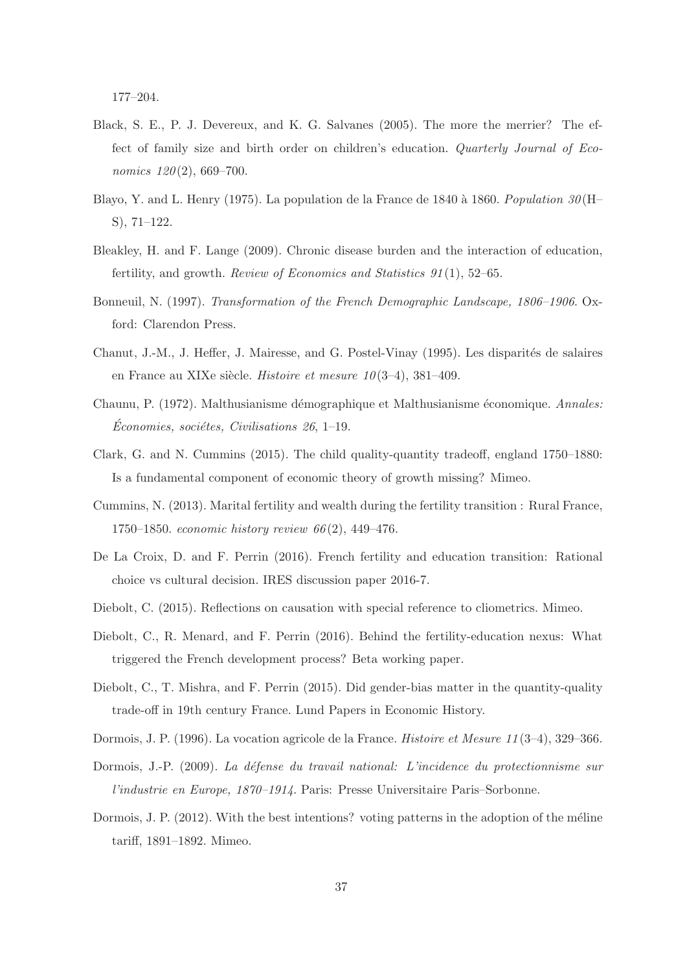177–204.

- Black, S. E., P. J. Devereux, and K. G. Salvanes (2005). The more the merrier? The effect of family size and birth order on children's education. Quarterly Journal of Economics  $120(2)$ , 669-700.
- Blayo, Y. and L. Henry (1975). La population de la France de 1840 à 1860. Population  $30(H$ S), 71–122.
- Bleakley, H. and F. Lange (2009). Chronic disease burden and the interaction of education, fertility, and growth. Review of Economics and Statistics  $91(1)$ , 52–65.
- Bonneuil, N. (1997). Transformation of the French Demographic Landscape, 1806–1906. Oxford: Clarendon Press.
- Chanut, J.-M., J. Heffer, J. Mairesse, and G. Postel-Vinay (1995). Les disparités de salaires en France au XIXe siècle. Histoire et mesure  $10(3-4)$ , 381-409.
- Chaunu, P. (1972). Malthusianisme démographique et Malthusianisme économique. Annales:  $Économics, sociétes, Civilisations 26, 1–19.$
- Clark, G. and N. Cummins (2015). The child quality-quantity tradeoff, england 1750–1880: Is a fundamental component of economic theory of growth missing? Mimeo.
- Cummins, N. (2013). Marital fertility and wealth during the fertility transition : Rural France, 1750–1850. economic history review 66 (2), 449–476.
- De La Croix, D. and F. Perrin (2016). French fertility and education transition: Rational choice vs cultural decision. IRES discussion paper 2016-7.
- Diebolt, C. (2015). Reflections on causation with special reference to cliometrics. Mimeo.
- Diebolt, C., R. Menard, and F. Perrin (2016). Behind the fertility-education nexus: What triggered the French development process? Beta working paper.
- Diebolt, C., T. Mishra, and F. Perrin (2015). Did gender-bias matter in the quantity-quality trade-off in 19th century France. Lund Papers in Economic History.
- Dormois, J. P. (1996). La vocation agricole de la France. Histoire et Mesure 11 (3–4), 329–366.
- Dormois, J.-P. (2009). La défense du travail national: L'incidence du protectionnisme sur l'industrie en Europe, 1870–1914. Paris: Presse Universitaire Paris–Sorbonne.
- Dormois, J. P.  $(2012)$ . With the best intentions? voting patterns in the adoption of the méline tariff, 1891–1892. Mimeo.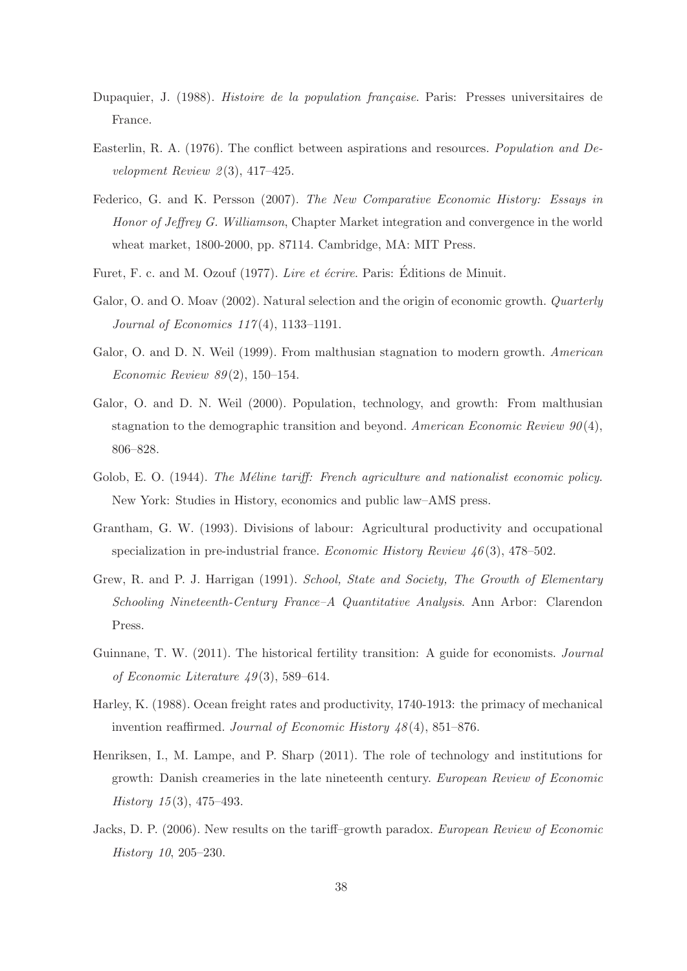- Dupaquier, J. (1988). *Histoire de la population française*. Paris: Presses universitaires de France.
- Easterlin, R. A. (1976). The conflict between aspirations and resources. Population and Development Review  $2(3)$ , 417-425.
- Federico, G. and K. Persson (2007). The New Comparative Economic History: Essays in Honor of Jeffrey G. Williamson, Chapter Market integration and convergence in the world wheat market, 1800-2000, pp. 87114. Cambridge, MA: MIT Press.
- Furet, F. c. and M. Ozouf (1977). Lire et écrire. Paris: Éditions de Minuit.
- Galor, O. and O. Moav (2002). Natural selection and the origin of economic growth. *Quarterly* Journal of Economics 117 (4), 1133–1191.
- Galor, O. and D. N. Weil (1999). From malthusian stagnation to modern growth. American Economic Review 89 (2), 150–154.
- Galor, O. and D. N. Weil (2000). Population, technology, and growth: From malthusian stagnation to the demographic transition and beyond. American Economic Review  $90(4)$ , 806–828.
- Golob, E. O. (1944). The Méline tariff: French agriculture and nationalist economic policy. New York: Studies in History, economics and public law–AMS press.
- Grantham, G. W. (1993). Divisions of labour: Agricultural productivity and occupational specialization in pre-industrial france. *Economic History Review 46*(3), 478–502.
- Grew, R. and P. J. Harrigan (1991). School, State and Society, The Growth of Elementary Schooling Nineteenth-Century France–A Quantitative Analysis. Ann Arbor: Clarendon Press.
- Guinnane, T. W. (2011). The historical fertility transition: A guide for economists. Journal of Economic Literature  $\mu$ 9(3), 589–614.
- Harley, K. (1988). Ocean freight rates and productivity, 1740-1913: the primacy of mechanical invention reaffirmed. Journal of Economic History  $48(4)$ , 851–876.
- Henriksen, I., M. Lampe, and P. Sharp (2011). The role of technology and institutions for growth: Danish creameries in the late nineteenth century. European Review of Economic History  $15(3)$ , 475–493.
- Jacks, D. P. (2006). New results on the tariff–growth paradox. European Review of Economic History 10, 205–230.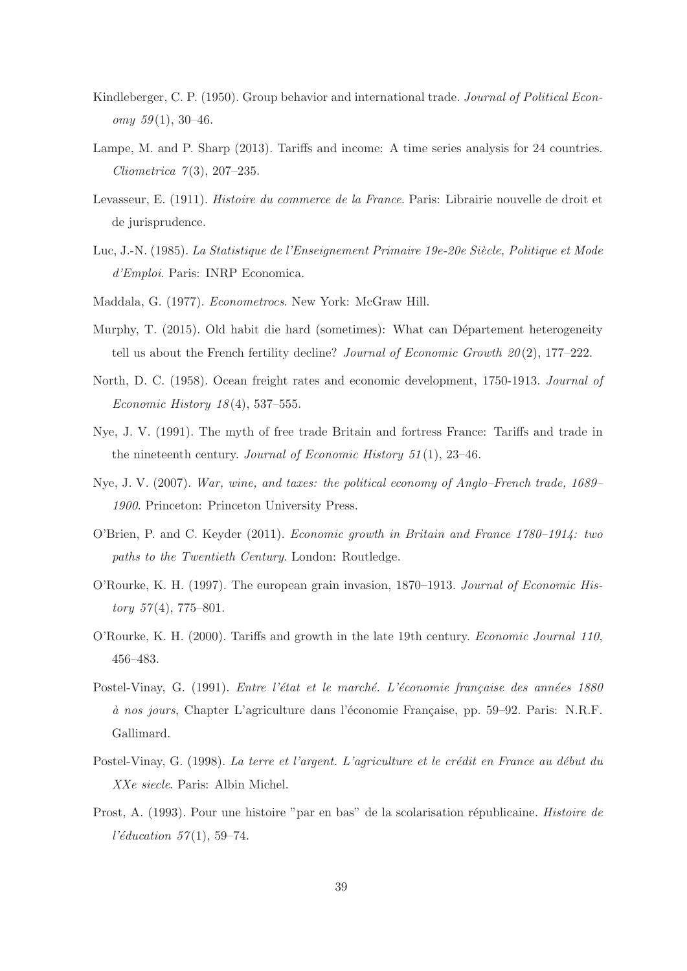- Kindleberger, C. P. (1950). Group behavior and international trade. Journal of Political Economy  $59(1)$ , 30-46.
- Lampe, M. and P. Sharp (2013). Tariffs and income: A time series analysis for 24 countries. *Cliometrica*  $7(3)$ , 207–235.
- Levasseur, E. (1911). Histoire du commerce de la France. Paris: Librairie nouvelle de droit et de jurisprudence.
- Luc, J.-N. (1985). La Statistique de l'Enseignement Primaire 19e-20e Siècle, Politique et Mode d'Emploi. Paris: INRP Economica.
- Maddala, G. (1977). Econometrocs. New York: McGraw Hill.
- Murphy, T. (2015). Old habit die hard (sometimes): What can Département heterogeneity tell us about the French fertility decline? Journal of Economic Growth  $20(2)$ , 177–222.
- North, D. C. (1958). Ocean freight rates and economic development, 1750-1913. Journal of *Economic History 18*(4), 537–555.
- Nye, J. V. (1991). The myth of free trade Britain and fortress France: Tariffs and trade in the nineteenth century. Journal of Economic History  $51(1)$ , 23-46.
- Nye, J. V. (2007). War, wine, and taxes: the political economy of Anglo–French trade, 1689– 1900. Princeton: Princeton University Press.
- O'Brien, P. and C. Keyder (2011). Economic growth in Britain and France 1780–1914: two paths to the Twentieth Century. London: Routledge.
- O'Rourke, K. H. (1997). The european grain invasion, 1870–1913. Journal of Economic His $tory 57(4), 775-801.$
- O'Rourke, K. H. (2000). Tariffs and growth in the late 19th century. Economic Journal 110, 456–483.
- Postel-Vinay, G. (1991). Entre l'état et le marché. L'économie française des années 1880 à nos jours, Chapter L'agriculture dans l'économie Française, pp. 59–92. Paris: N.R.F. Gallimard.
- Postel-Vinay, G. (1998). La terre et l'argent. L'agriculture et le crédit en France au début du XXe siecle. Paris: Albin Michel.
- Prost, A. (1993). Pour une histoire "par en bas" de la scolarisation républicaine. Histoire de  $l'éduction 57(1), 59-74.$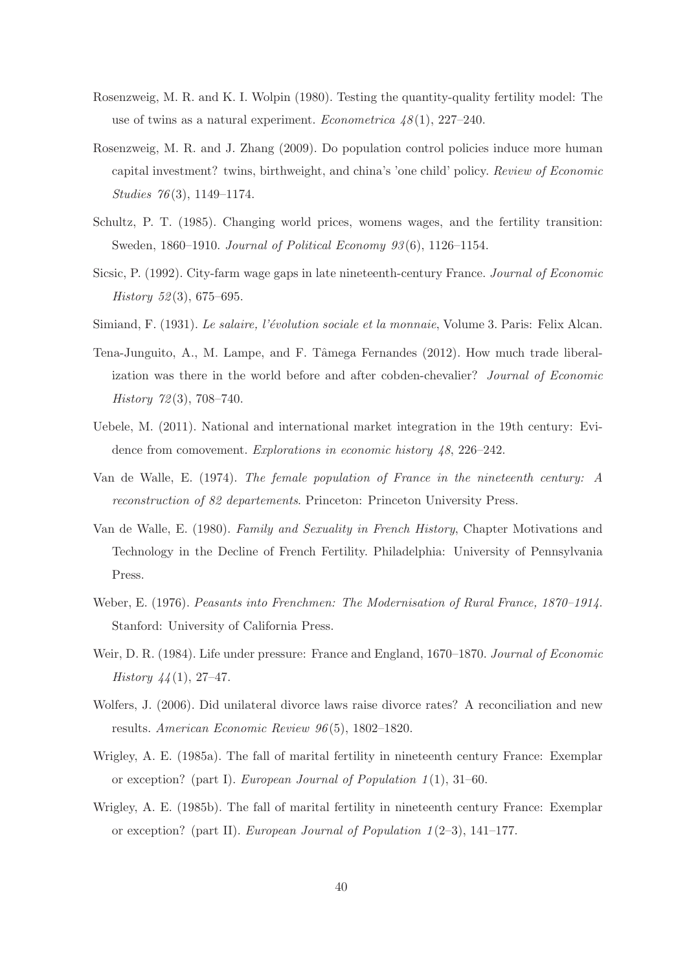- Rosenzweig, M. R. and K. I. Wolpin (1980). Testing the quantity-quality fertility model: The use of twins as a natural experiment. Econometrica  $48(1)$ , 227–240.
- Rosenzweig, M. R. and J. Zhang (2009). Do population control policies induce more human capital investment? twins, birthweight, and china's 'one child' policy. Review of Economic Studies 76(3), 1149-1174.
- Schultz, P. T. (1985). Changing world prices, womens wages, and the fertility transition: Sweden, 1860–1910. Journal of Political Economy 93(6), 1126–1154.
- Sicsic, P. (1992). City-farm wage gaps in late nineteenth-century France. Journal of Economic History 52(3), 675–695.
- Simiand, F. (1931). Le salaire, l'évolution sociale et la monnaie, Volume 3. Paris: Felix Alcan.
- Tena-Junguito, A., M. Lampe, and F. Tâmega Fernandes (2012). How much trade liberalization was there in the world before and after cobden-chevalier? Journal of Economic History 72 (3), 708–740.
- Uebele, M. (2011). National and international market integration in the 19th century: Evidence from comovement. Explorations in economic history 48, 226–242.
- Van de Walle, E. (1974). The female population of France in the nineteenth century: A reconstruction of 82 departements. Princeton: Princeton University Press.
- Van de Walle, E. (1980). Family and Sexuality in French History, Chapter Motivations and Technology in the Decline of French Fertility. Philadelphia: University of Pennsylvania Press.
- Weber, E. (1976). Peasants into Frenchmen: The Modernisation of Rural France, 1870–1914. Stanford: University of California Press.
- Weir, D. R. (1984). Life under pressure: France and England, 1670–1870. Journal of Economic History  $44(1)$ , 27-47.
- Wolfers, J. (2006). Did unilateral divorce laws raise divorce rates? A reconciliation and new results. American Economic Review 96 (5), 1802–1820.
- Wrigley, A. E. (1985a). The fall of marital fertility in nineteenth century France: Exemplar or exception? (part I). European Journal of Population  $1(1)$ ,  $31-60$ .
- Wrigley, A. E. (1985b). The fall of marital fertility in nineteenth century France: Exemplar or exception? (part II). European Journal of Population  $1(2-3)$ , 141–177.